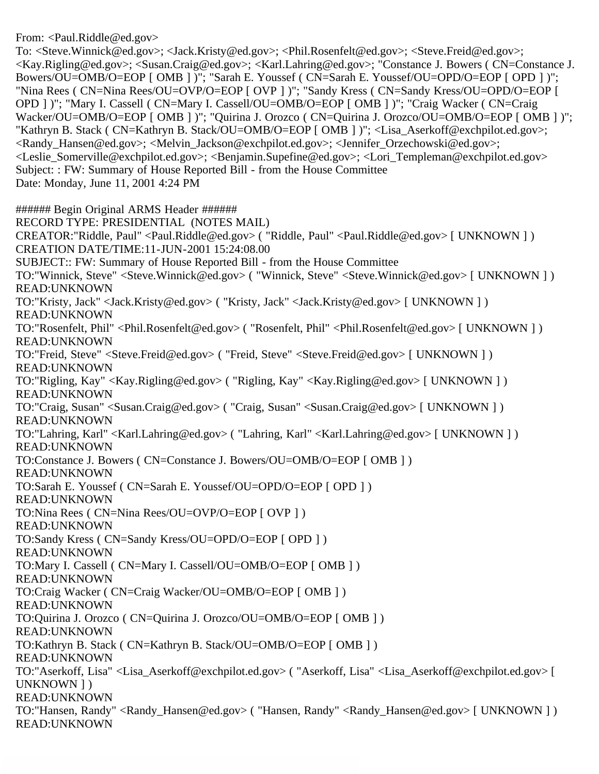From: <Paul.Riddle@ed.gov>

To: <Steve.Winnick@ed.gov>; <Jack.Kristy@ed.gov>; <Phil.Rosenfelt@ed.gov>; <Steve.Freid@ed.gov>; <Kay.Rigling@ed.gov>; <Susan.Craig@ed.gov>; <Karl.Lahring@ed.gov>; "Constance J. Bowers ( CN=Constance J. Bowers/OU=OMB/O=EOP [ OMB ] )"; "Sarah E. Youssef ( CN=Sarah E. Youssef/OU=OPD/O=EOP [ OPD ] )"; "Nina Rees ( CN=Nina Rees/OU=OVP/O=EOP [ OVP ] )"; "Sandy Kress ( CN=Sandy Kress/OU=OPD/O=EOP [ OPD ] )"; "Mary I. Cassell ( CN=Mary I. Cassell/OU=OMB/O=EOP [ OMB ] )"; "Craig Wacker ( CN=Craig Wacker/OU=OMB/O=EOP [ OMB ] )"; "Quirina J. Orozco ( CN=Quirina J. Orozco/OU=OMB/O=EOP [ OMB ] )"; "Kathryn B. Stack ( CN=Kathryn B. Stack/OU=OMB/O=EOP [ OMB ] )"; <Lisa Aserkoff@exchpilot.ed.gov>; <Randy\_Hansen@ed.gov>; <Melvin\_Jackson@exchpilot.ed.gov>; <Jennifer\_Orzechowski@ed.gov>; <Leslie\_Somerville@exchpilot.ed.gov>; <Benjamin.Supefine@ed.gov>; <Lori\_Templeman@exchpilot.ed.gov> Subject: : FW: Summary of House Reported Bill - from the House Committee Date: Monday, June 11, 2001 4:24 PM

###### Begin Original ARMS Header ######

RECORD TYPE: PRESIDENTIAL (NOTES MAIL) CREATOR:"Riddle, Paul" <Paul.Riddle@ed.gov> ( "Riddle, Paul" <Paul.Riddle@ed.gov> [ UNKNOWN ] ) CREATION DATE/TIME:11-JUN-2001 15:24:08.00 SUBJECT:: FW: Summary of House Reported Bill - from the House Committee TO:"Winnick, Steve" <Steve.Winnick@ed.gov> ( "Winnick, Steve" <Steve.Winnick@ed.gov> [ UNKNOWN ] ) READ:UNKNOWN TO:"Kristy, Jack" <Jack.Kristy@ed.gov> ( "Kristy, Jack" <Jack.Kristy@ed.gov> [ UNKNOWN ] ) READ:UNKNOWN TO:"Rosenfelt, Phil" <Phil.Rosenfelt@ed.gov> ( "Rosenfelt, Phil" <Phil.Rosenfelt@ed.gov> [ UNKNOWN ] ) READ:UNKNOWN TO:"Freid, Steve" <Steve.Freid@ed.gov> ( "Freid, Steve" <Steve.Freid@ed.gov> [ UNKNOWN ] ) READ:UNKNOWN TO:"Rigling, Kay" <Kay.Rigling@ed.gov> ( "Rigling, Kay" <Kay.Rigling@ed.gov> [ UNKNOWN ] ) READ:UNKNOWN TO:"Craig, Susan" <Susan.Craig@ed.gov> ( "Craig, Susan" <Susan.Craig@ed.gov> [ UNKNOWN ] ) READ:UNKNOWN TO:"Lahring, Karl" <Karl.Lahring@ed.gov> ( "Lahring, Karl" <Karl.Lahring@ed.gov> [ UNKNOWN ] ) READ:UNKNOWN TO:Constance J. Bowers ( CN=Constance J. Bowers/OU=OMB/O=EOP [ OMB ] ) READ:UNKNOWN TO:Sarah E. Youssef ( CN=Sarah E. Youssef/OU=OPD/O=EOP [ OPD ] ) READ:UNKNOWN TO:Nina Rees ( CN=Nina Rees/OU=OVP/O=EOP [ OVP ] ) READ:UNKNOWN TO:Sandy Kress ( CN=Sandy Kress/OU=OPD/O=EOP [ OPD ] ) READ:UNKNOWN TO:Mary I. Cassell ( CN=Mary I. Cassell/OU=OMB/O=EOP [ OMB ] ) READ:UNKNOWN TO:Craig Wacker ( CN=Craig Wacker/OU=OMB/O=EOP [ OMB ] ) READ:UNKNOWN TO:Quirina J. Orozco ( CN=Quirina J. Orozco/OU=OMB/O=EOP [ OMB ] ) READ:UNKNOWN TO:Kathryn B. Stack ( CN=Kathryn B. Stack/OU=OMB/O=EOP [ OMB ] ) READ:UNKNOWN TO:"Aserkoff, Lisa" <Lisa\_Aserkoff@exchpilot.ed.gov> ( "Aserkoff, Lisa" <Lisa\_Aserkoff@exchpilot.ed.gov> [ UNKNOWN ] ) READ:UNKNOWN TO:"Hansen, Randy" <Randy Hansen@ed.gov> ( "Hansen, Randy" <Randy Hansen@ed.gov> [ UNKNOWN ] ) READ:UNKNOWN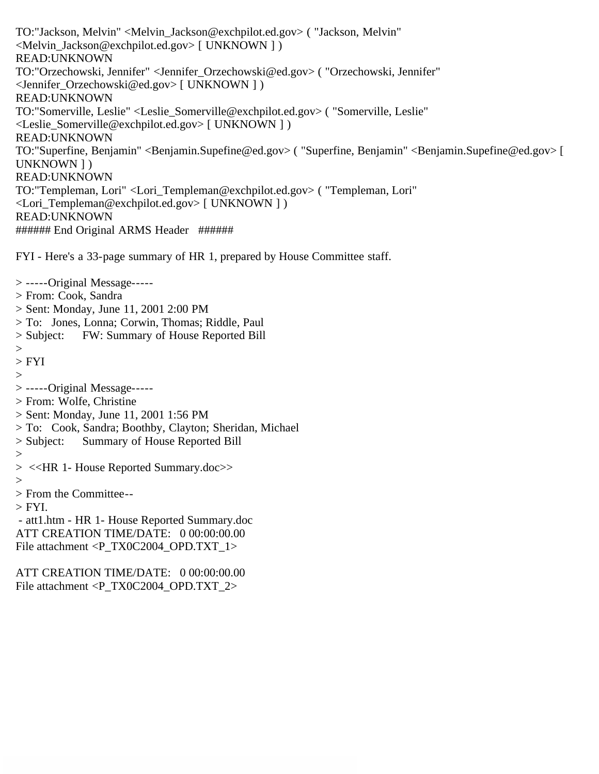TO:"Jackson, Melvin" <Melvin\_Jackson@exchpilot.ed.gov> ( "Jackson, Melvin" <Melvin\_Jackson@exchpilot.ed.gov> [ UNKNOWN ] ) READ:UNKNOWN TO:"Orzechowski, Jennifer" <Jennifer\_Orzechowski@ed.gov> ( "Orzechowski, Jennifer" <Jennifer\_Orzechowski@ed.gov> [ UNKNOWN ] ) READ:UNKNOWN TO:"Somerville, Leslie" <Leslie\_Somerville@exchpilot.ed.gov> ( "Somerville, Leslie" <Leslie\_Somerville@exchpilot.ed.gov> [ UNKNOWN ] ) READ:UNKNOWN TO:"Superfine, Benjamin" <Benjamin.Supefine@ed.gov> ( "Superfine, Benjamin" <Benjamin.Supefine@ed.gov> [ UNKNOWN ] ) READ:UNKNOWN TO:"Templeman, Lori" <Lori\_Templeman@exchpilot.ed.gov> ( "Templeman, Lori" <Lori\_Templeman@exchpilot.ed.gov> [ UNKNOWN ] ) READ:UNKNOWN ###### End Original ARMS Header ######

FYI - Here's a 33-page summary of HR 1, prepared by House Committee staff.

> From: Cook, Sandra > Sent: Monday, June 11, 2001 2:00 PM > To: Jones, Lonna; Corwin, Thomas; Riddle, Paul > Subject: FW: Summary of House Reported Bill > FYI > -----Original Message----- > From: Wolfe, Christine > Sent: Monday, June 11, 2001 1:56 PM > To: Cook, Sandra; Boothby, Clayton; Sheridan, Michael > Subject: Summary of House Reported Bill > <<HR 1- House Reported Summary.doc>> > From the Committee--  $>$  FYI. - att1.htm - HR 1- House Reported Summary.doc ATT CREATION TIME/DATE: 0 00:00:00.00 File attachment <P\_TX0C2004\_OPD.TXT\_1> ATT CREATION TIME/DATE: 0 00:00:00.00 File attachment <P\_TX0C2004\_OPD.TXT\_2>

> -----Original Message-----

 $>$ 

 $>$ 

 $>$ 

 $\geq$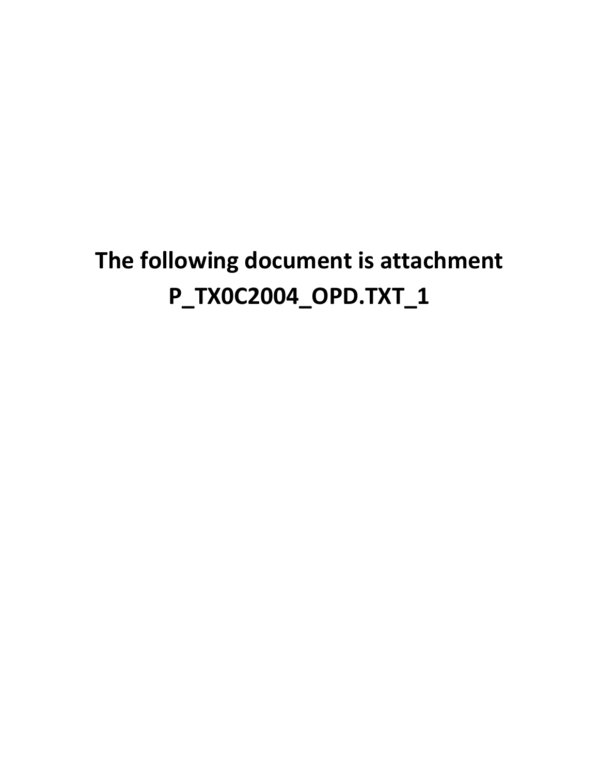# **The following document is attachment P\_TX0C2004\_OPD.TXT\_1**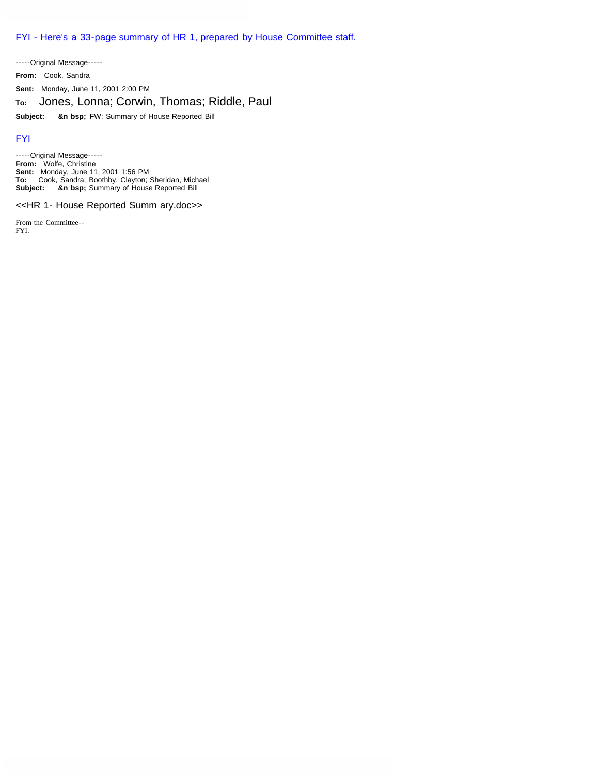FYI - Here's a 33-page summary of HR 1, prepared by House Committee staff.

-----Original Message----- **From:** Cook, Sandra **Sent:** Monday, June 11, 2001 2:00 PM **To:** Jones, Lonna; Corwin, Thomas; Riddle, Paul **Subject: &n bsp;** FW: Summary of House Reported Bill

#### FYI

-----Original Message----- **From:** Wolfe, Christine **Sent:** Monday, June 11, 2001 1:56 PM **To:** Cook, Sandra; Boothby, Clayton; Sheridan, Michael **Subject: &n bsp;** Summary of House Reported Bill

#### <<HR 1- House Reported Summ ary.doc>>

From the Committee-- FYI.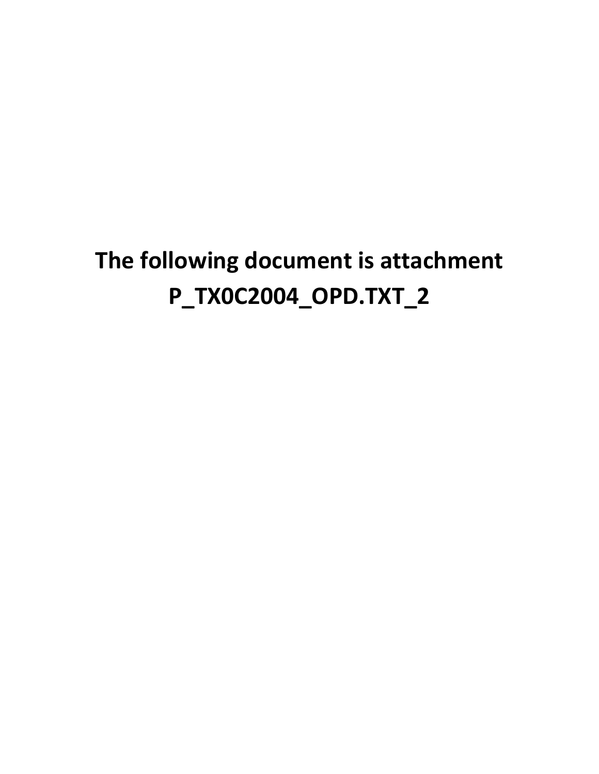# **The following document is attachment P\_TX0C2004\_OPD.TXT\_2**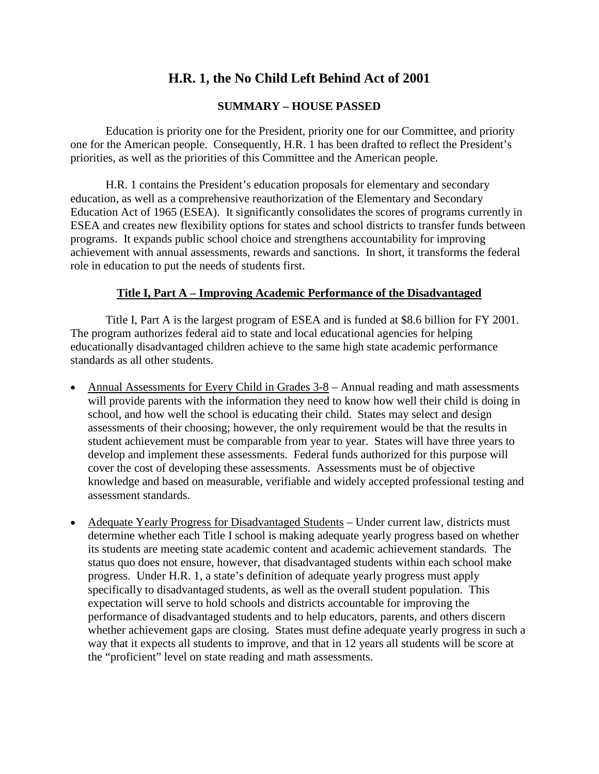# **H.R. 1, the No Child Left Behind Act of 2001**

#### **SUMMARY – HOUSE PASSED**

Education is priority one for the President, priority one for our Committee, and priority one for the American people. Consequently, H.R. 1 has been drafted to reflect the President's priorities, as well as the priorities of this Committee and the American people.

H.R. 1 contains the President's education proposals for elementary and secondary education, as well as a comprehensive reauthorization of the Elementary and Secondary Education Act of 1965 (ESEA). It significantly consolidates the scores of programs currently in ESEA and creates new flexibility options for states and school districts to transfer funds between programs. It expands public school choice and strengthens accountability for improving achievement with annual assessments, rewards and sanctions. In short, it transforms the federal role in education to put the needs of students first.

# **Title I, Part A – Improving Academic Performance of the Disadvantaged**

Title I, Part A is the largest program of ESEA and is funded at \$8.6 billion for FY 2001. The program authorizes federal aid to state and local educational agencies for helping educationally disadvantaged children achieve to the same high state academic performance standards as all other students.

- Annual Assessments for Every Child in Grades 3-8 Annual reading and math assessments will provide parents with the information they need to know how well their child is doing in school, and how well the school is educating their child. States may select and design assessments of their choosing; however, the only requirement would be that the results in student achievement must be comparable from year to year. States will have three years to develop and implement these assessments. Federal funds authorized for this purpose will cover the cost of developing these assessments. Assessments must be of objective knowledge and based on measurable, verifiable and widely accepted professional testing and assessment standards.
- Adequate Yearly Progress for Disadvantaged Students Under current law, districts must determine whether each Title I school is making adequate yearly progress based on whether its students are meeting state academic content and academic achievement standards. The status quo does not ensure, however, that disadvantaged students within each school make progress. Under H.R. 1, a state's definition of adequate yearly progress must apply specifically to disadvantaged students, as well as the overall student population. This expectation will serve to hold schools and districts accountable for improving the performance of disadvantaged students and to help educators, parents, and others discern whether achievement gaps are closing. States must define adequate yearly progress in such a way that it expects all students to improve, and that in 12 years all students will be score at the "proficient" level on state reading and math assessments.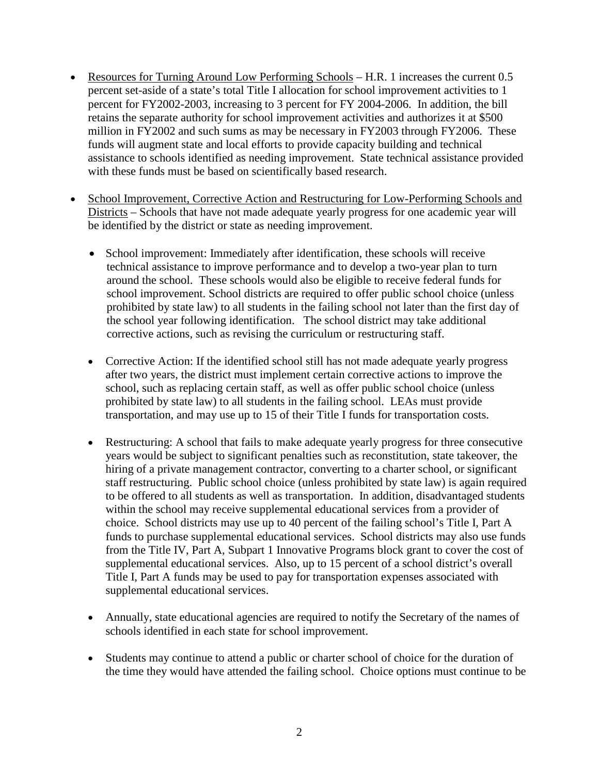- Resources for Turning Around Low Performing Schools H.R. 1 increases the current 0.5 percent set-aside of a state's total Title I allocation for school improvement activities to 1 percent for FY2002-2003, increasing to 3 percent for FY 2004-2006. In addition, the bill retains the separate authority for school improvement activities and authorizes it at \$500 million in FY2002 and such sums as may be necessary in FY2003 through FY2006. These funds will augment state and local efforts to provide capacity building and technical assistance to schools identified as needing improvement. State technical assistance provided with these funds must be based on scientifically based research.
- School Improvement, Corrective Action and Restructuring for Low-Performing Schools and Districts – Schools that have not made adequate yearly progress for one academic year will be identified by the district or state as needing improvement.
	- School improvement: Immediately after identification, these schools will receive technical assistance to improve performance and to develop a two-year plan to turn around the school. These schools would also be eligible to receive federal funds for school improvement. School districts are required to offer public school choice (unless prohibited by state law) to all students in the failing school not later than the first day of the school year following identification. The school district may take additional corrective actions, such as revising the curriculum or restructuring staff.
	- Corrective Action: If the identified school still has not made adequate yearly progress after two years, the district must implement certain corrective actions to improve the school, such as replacing certain staff, as well as offer public school choice (unless prohibited by state law) to all students in the failing school. LEAs must provide transportation, and may use up to 15 of their Title I funds for transportation costs.
	- Restructuring: A school that fails to make adequate yearly progress for three consecutive years would be subject to significant penalties such as reconstitution, state takeover, the hiring of a private management contractor, converting to a charter school, or significant staff restructuring. Public school choice (unless prohibited by state law) is again required to be offered to all students as well as transportation. In addition, disadvantaged students within the school may receive supplemental educational services from a provider of choice. School districts may use up to 40 percent of the failing school's Title I, Part A funds to purchase supplemental educational services. School districts may also use funds from the Title IV, Part A, Subpart 1 Innovative Programs block grant to cover the cost of supplemental educational services. Also, up to 15 percent of a school district's overall Title I, Part A funds may be used to pay for transportation expenses associated with supplemental educational services.
	- Annually, state educational agencies are required to notify the Secretary of the names of schools identified in each state for school improvement.
	- Students may continue to attend a public or charter school of choice for the duration of the time they would have attended the failing school. Choice options must continue to be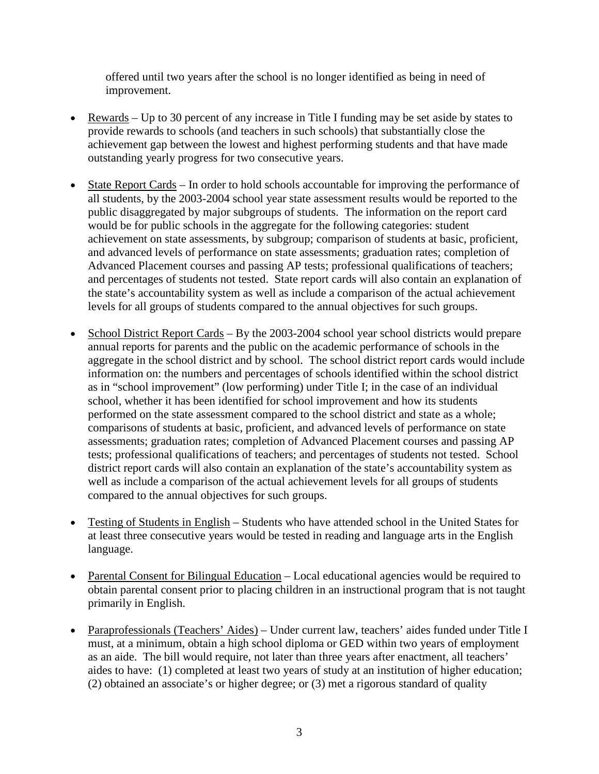offered until two years after the school is no longer identified as being in need of improvement.

- Rewards Up to 30 percent of any increase in Title I funding may be set aside by states to provide rewards to schools (and teachers in such schools) that substantially close the achievement gap between the lowest and highest performing students and that have made outstanding yearly progress for two consecutive years.
- State Report Cards In order to hold schools accountable for improving the performance of all students, by the 2003-2004 school year state assessment results would be reported to the public disaggregated by major subgroups of students. The information on the report card would be for public schools in the aggregate for the following categories: student achievement on state assessments, by subgroup; comparison of students at basic, proficient, and advanced levels of performance on state assessments; graduation rates; completion of Advanced Placement courses and passing AP tests; professional qualifications of teachers; and percentages of students not tested. State report cards will also contain an explanation of the state's accountability system as well as include a comparison of the actual achievement levels for all groups of students compared to the annual objectives for such groups.
- School District Report Cards By the 2003-2004 school year school districts would prepare annual reports for parents and the public on the academic performance of schools in the aggregate in the school district and by school. The school district report cards would include information on: the numbers and percentages of schools identified within the school district as in "school improvement" (low performing) under Title I; in the case of an individual school, whether it has been identified for school improvement and how its students performed on the state assessment compared to the school district and state as a whole; comparisons of students at basic, proficient, and advanced levels of performance on state assessments; graduation rates; completion of Advanced Placement courses and passing AP tests; professional qualifications of teachers; and percentages of students not tested. School district report cards will also contain an explanation of the state's accountability system as well as include a comparison of the actual achievement levels for all groups of students compared to the annual objectives for such groups.
- Testing of Students in English Students who have attended school in the United States for at least three consecutive years would be tested in reading and language arts in the English language.
- Parental Consent for Bilingual Education Local educational agencies would be required to obtain parental consent prior to placing children in an instructional program that is not taught primarily in English.
- Paraprofessionals (Teachers' Aides) Under current law, teachers' aides funded under Title I must, at a minimum, obtain a high school diploma or GED within two years of employment as an aide. The bill would require, not later than three years after enactment, all teachers' aides to have: (1) completed at least two years of study at an institution of higher education; (2) obtained an associate's or higher degree; or (3) met a rigorous standard of quality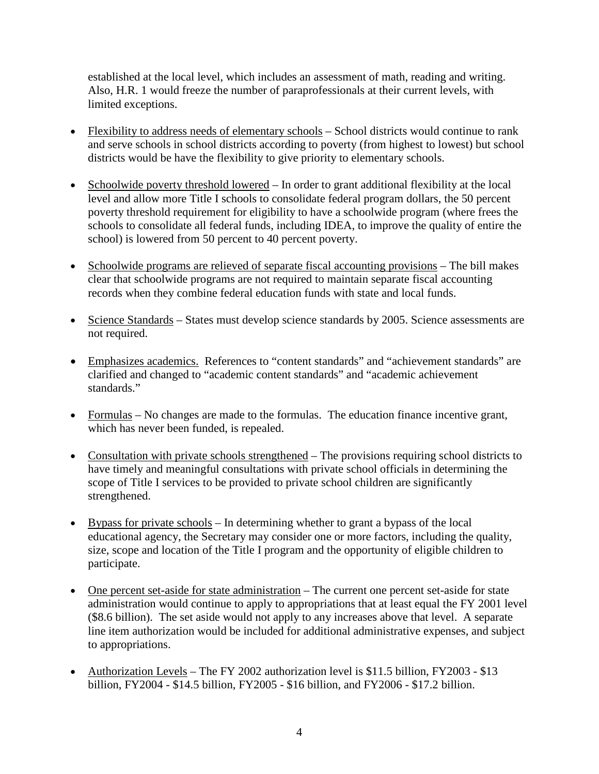established at the local level, which includes an assessment of math, reading and writing. Also, H.R. 1 would freeze the number of paraprofessionals at their current levels, with limited exceptions.

- Flexibility to address needs of elementary schools School districts would continue to rank and serve schools in school districts according to poverty (from highest to lowest) but school districts would be have the flexibility to give priority to elementary schools.
- Schoolwide poverty threshold lowered In order to grant additional flexibility at the local level and allow more Title I schools to consolidate federal program dollars, the 50 percent poverty threshold requirement for eligibility to have a schoolwide program (where frees the schools to consolidate all federal funds, including IDEA, to improve the quality of entire the school) is lowered from 50 percent to 40 percent poverty.
- Schoolwide programs are relieved of separate fiscal accounting provisions The bill makes clear that schoolwide programs are not required to maintain separate fiscal accounting records when they combine federal education funds with state and local funds.
- Science Standards States must develop science standards by 2005. Science assessments are not required.
- Emphasizes academics. References to "content standards" and "achievement standards" are clarified and changed to "academic content standards" and "academic achievement standards."
- Formulas No changes are made to the formulas. The education finance incentive grant, which has never been funded, is repealed.
- Consultation with private schools strengthened The provisions requiring school districts to have timely and meaningful consultations with private school officials in determining the scope of Title I services to be provided to private school children are significantly strengthened.
- Bypass for private schools In determining whether to grant a bypass of the local educational agency, the Secretary may consider one or more factors, including the quality, size, scope and location of the Title I program and the opportunity of eligible children to participate.
- One percent set-aside for state administration The current one percent set-aside for state administration would continue to apply to appropriations that at least equal the FY 2001 level (\$8.6 billion). The set aside would not apply to any increases above that level. A separate line item authorization would be included for additional administrative expenses, and subject to appropriations.
- Authorization Levels The FY 2002 authorization level is \$11.5 billion, FY2003 \$13 billion, FY2004 - \$14.5 billion, FY2005 - \$16 billion, and FY2006 - \$17.2 billion.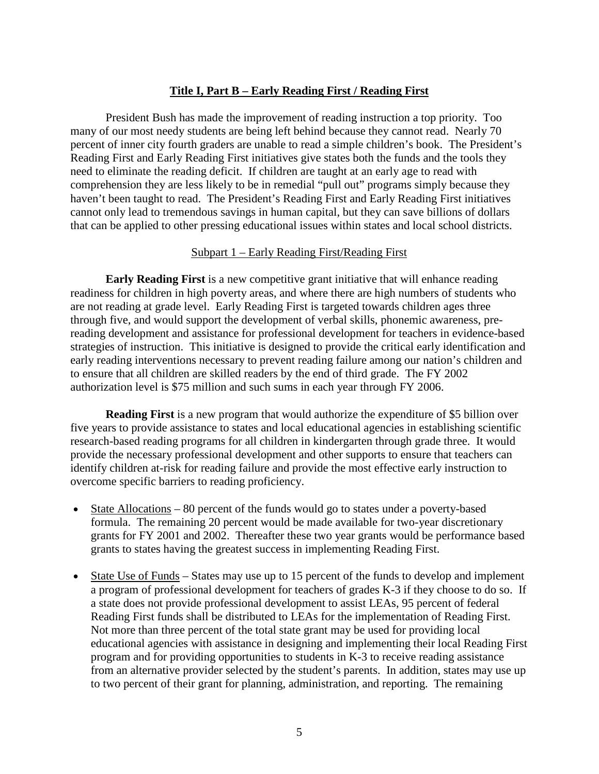#### **Title I, Part B – Early Reading First / Reading First**

President Bush has made the improvement of reading instruction a top priority. Too many of our most needy students are being left behind because they cannot read. Nearly 70 percent of inner city fourth graders are unable to read a simple children's book. The President's Reading First and Early Reading First initiatives give states both the funds and the tools they need to eliminate the reading deficit. If children are taught at an early age to read with comprehension they are less likely to be in remedial "pull out" programs simply because they haven't been taught to read. The President's Reading First and Early Reading First initiatives cannot only lead to tremendous savings in human capital, but they can save billions of dollars that can be applied to other pressing educational issues within states and local school districts.

#### Subpart 1 – Early Reading First/Reading First

**Early Reading First** is a new competitive grant initiative that will enhance reading readiness for children in high poverty areas, and where there are high numbers of students who are not reading at grade level. Early Reading First is targeted towards children ages three through five, and would support the development of verbal skills, phonemic awareness, prereading development and assistance for professional development for teachers in evidence-based strategies of instruction. This initiative is designed to provide the critical early identification and early reading interventions necessary to prevent reading failure among our nation's children and to ensure that all children are skilled readers by the end of third grade. The FY 2002 authorization level is \$75 million and such sums in each year through FY 2006.

**Reading First** is a new program that would authorize the expenditure of \$5 billion over five years to provide assistance to states and local educational agencies in establishing scientific research-based reading programs for all children in kindergarten through grade three. It would provide the necessary professional development and other supports to ensure that teachers can identify children at-risk for reading failure and provide the most effective early instruction to overcome specific barriers to reading proficiency.

- State Allocations 80 percent of the funds would go to states under a poverty-based formula. The remaining 20 percent would be made available for two-year discretionary grants for FY 2001 and 2002. Thereafter these two year grants would be performance based grants to states having the greatest success in implementing Reading First.
- State Use of Funds States may use up to 15 percent of the funds to develop and implement a program of professional development for teachers of grades K-3 if they choose to do so. If a state does not provide professional development to assist LEAs, 95 percent of federal Reading First funds shall be distributed to LEAs for the implementation of Reading First. Not more than three percent of the total state grant may be used for providing local educational agencies with assistance in designing and implementing their local Reading First program and for providing opportunities to students in K-3 to receive reading assistance from an alternative provider selected by the student's parents. In addition, states may use up to two percent of their grant for planning, administration, and reporting. The remaining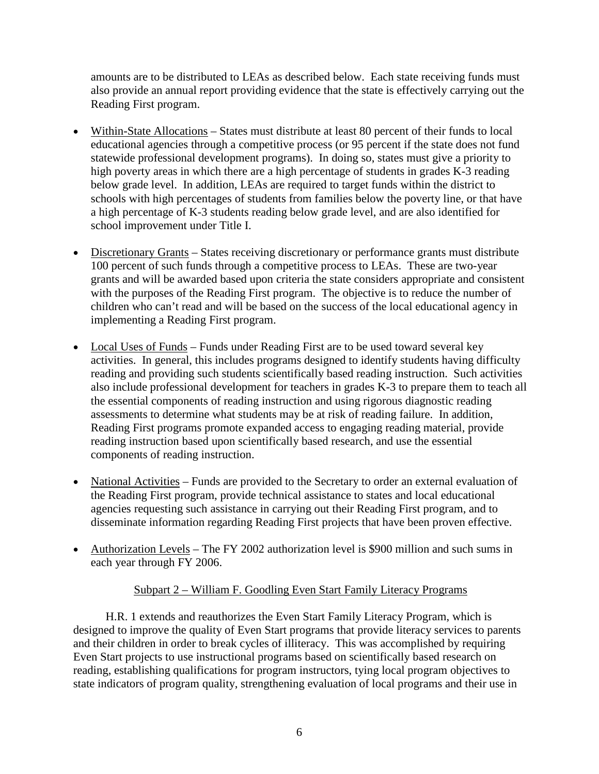amounts are to be distributed to LEAs as described below. Each state receiving funds must also provide an annual report providing evidence that the state is effectively carrying out the Reading First program.

- Within-State Allocations States must distribute at least 80 percent of their funds to local educational agencies through a competitive process (or 95 percent if the state does not fund statewide professional development programs). In doing so, states must give a priority to high poverty areas in which there are a high percentage of students in grades K-3 reading below grade level. In addition, LEAs are required to target funds within the district to schools with high percentages of students from families below the poverty line, or that have a high percentage of K-3 students reading below grade level, and are also identified for school improvement under Title I.
- Discretionary Grants States receiving discretionary or performance grants must distribute 100 percent of such funds through a competitive process to LEAs. These are two-year grants and will be awarded based upon criteria the state considers appropriate and consistent with the purposes of the Reading First program. The objective is to reduce the number of children who can't read and will be based on the success of the local educational agency in implementing a Reading First program.
- Local Uses of Funds Funds under Reading First are to be used toward several key activities. In general, this includes programs designed to identify students having difficulty reading and providing such students scientifically based reading instruction. Such activities also include professional development for teachers in grades K-3 to prepare them to teach all the essential components of reading instruction and using rigorous diagnostic reading assessments to determine what students may be at risk of reading failure. In addition, Reading First programs promote expanded access to engaging reading material, provide reading instruction based upon scientifically based research, and use the essential components of reading instruction.
- National Activities Funds are provided to the Secretary to order an external evaluation of the Reading First program, provide technical assistance to states and local educational agencies requesting such assistance in carrying out their Reading First program, and to disseminate information regarding Reading First projects that have been proven effective.
- Authorization Levels The FY 2002 authorization level is \$900 million and such sums in each year through FY 2006.

### Subpart 2 – William F. Goodling Even Start Family Literacy Programs

H.R. 1 extends and reauthorizes the Even Start Family Literacy Program, which is designed to improve the quality of Even Start programs that provide literacy services to parents and their children in order to break cycles of illiteracy. This was accomplished by requiring Even Start projects to use instructional programs based on scientifically based research on reading, establishing qualifications for program instructors, tying local program objectives to state indicators of program quality, strengthening evaluation of local programs and their use in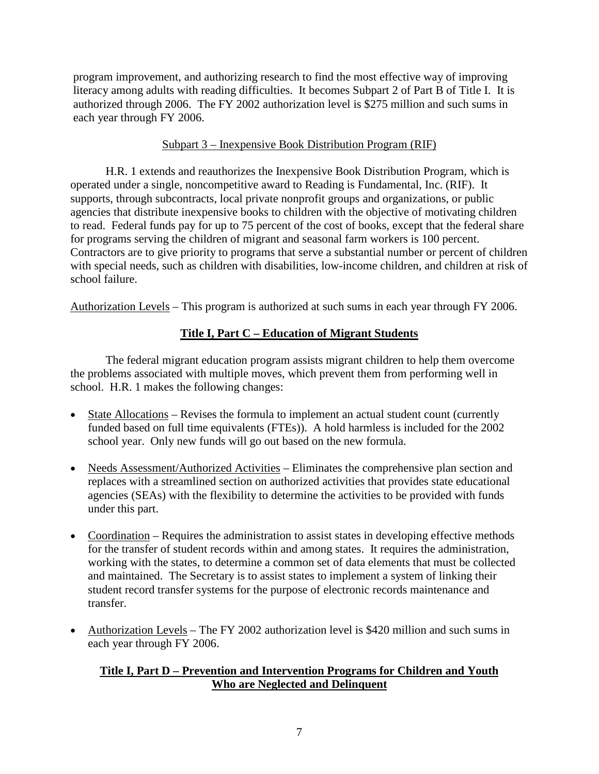program improvement, and authorizing research to find the most effective way of improving literacy among adults with reading difficulties. It becomes Subpart 2 of Part B of Title I. It is authorized through 2006.The FY 2002 authorization level is \$275 million and such sums in each year through FY 2006.

#### Subpart 3 – Inexpensive Book Distribution Program (RIF)

H.R. 1 extends and reauthorizes the Inexpensive Book Distribution Program, which is operated under a single, noncompetitive award to Reading is Fundamental, Inc. (RIF). It supports, through subcontracts, local private nonprofit groups and organizations, or public agencies that distribute inexpensive books to children with the objective of motivating children to read. Federal funds pay for up to 75 percent of the cost of books, except that the federal share for programs serving the children of migrant and seasonal farm workers is 100 percent. Contractors are to give priority to programs that serve a substantial number or percent of children with special needs, such as children with disabilities, low-income children, and children at risk of school failure.

Authorization Levels – This program is authorized at such sums in each year through FY 2006.

# **Title I, Part C – Education of Migrant Students**

The federal migrant education program assists migrant children to help them overcome the problems associated with multiple moves, which prevent them from performing well in school. H.R. 1 makes the following changes:

- State Allocations Revises the formula to implement an actual student count (currently funded based on full time equivalents (FTEs)). A hold harmless is included for the 2002 school year. Only new funds will go out based on the new formula.
- Needs Assessment/Authorized Activities Eliminates the comprehensive plan section and replaces with a streamlined section on authorized activities that provides state educational agencies (SEAs) with the flexibility to determine the activities to be provided with funds under this part.
- Coordination Requires the administration to assist states in developing effective methods for the transfer of student records within and among states. It requires the administration, working with the states, to determine a common set of data elements that must be collected and maintained. The Secretary is to assist states to implement a system of linking their student record transfer systems for the purpose of electronic records maintenance and transfer.
- Authorization Levels The FY 2002 authorization level is \$420 million and such sums in each year through FY 2006.

### **Title I, Part D – Prevention and Intervention Programs for Children and Youth Who are Neglected and Delinquent**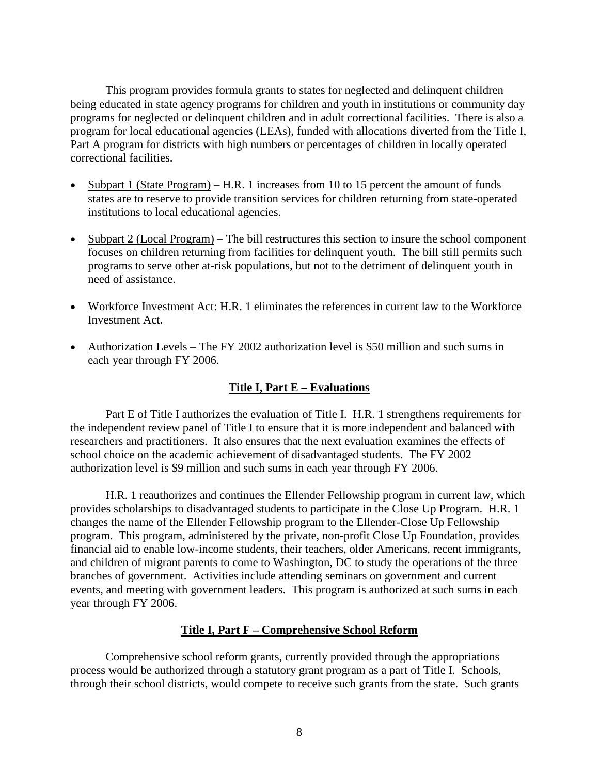This program provides formula grants to states for neglected and delinquent children being educated in state agency programs for children and youth in institutions or community day programs for neglected or delinquent children and in adult correctional facilities. There is also a program for local educational agencies (LEAs), funded with allocations diverted from the Title I, Part A program for districts with high numbers or percentages of children in locally operated correctional facilities.

- Subpart 1 (State Program) H.R. 1 increases from 10 to 15 percent the amount of funds states are to reserve to provide transition services for children returning from state-operated institutions to local educational agencies.
- Subpart 2 (Local Program) The bill restructures this section to insure the school component focuses on children returning from facilities for delinquent youth. The bill still permits such programs to serve other at-risk populations, but not to the detriment of delinquent youth in need of assistance.
- Workforce Investment Act: H.R. 1 eliminates the references in current law to the Workforce Investment Act.
- Authorization Levels The FY 2002 authorization level is \$50 million and such sums in each year through FY 2006.

#### **Title I, Part E – Evaluations**

Part E of Title I authorizes the evaluation of Title I. H.R. 1 strengthens requirements for the independent review panel of Title I to ensure that it is more independent and balanced with researchers and practitioners. It also ensures that the next evaluation examines the effects of school choice on the academic achievement of disadvantaged students. The FY 2002 authorization level is \$9 million and such sums in each year through FY 2006.

H.R. 1 reauthorizes and continues the Ellender Fellowship program in current law, which provides scholarships to disadvantaged students to participate in the Close Up Program. H.R. 1 changes the name of the Ellender Fellowship program to the Ellender-Close Up Fellowship program. This program, administered by the private, non-profit Close Up Foundation, provides financial aid to enable low-income students, their teachers, older Americans, recent immigrants, and children of migrant parents to come to Washington, DC to study the operations of the three branches of government. Activities include attending seminars on government and current events, and meeting with government leaders. This program is authorized at such sums in each year through FY 2006.

#### **Title I, Part F – Comprehensive School Reform**

Comprehensive school reform grants, currently provided through the appropriations process would be authorized through a statutory grant program as a part of Title I. Schools, through their school districts, would compete to receive such grants from the state. Such grants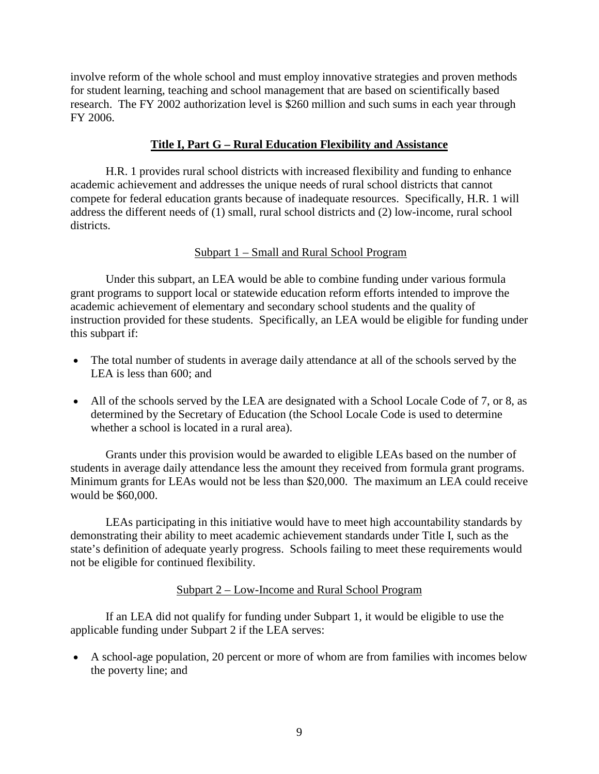involve reform of the whole school and must employ innovative strategies and proven methods for student learning, teaching and school management that are based on scientifically based research. The FY 2002 authorization level is \$260 million and such sums in each year through FY 2006.

#### **Title I, Part G – Rural Education Flexibility and Assistance**

H.R. 1 provides rural school districts with increased flexibility and funding to enhance academic achievement and addresses the unique needs of rural school districts that cannot compete for federal education grants because of inadequate resources. Specifically, H.R. 1 will address the different needs of (1) small, rural school districts and (2) low-income, rural school districts.

#### Subpart 1 – Small and Rural School Program

Under this subpart, an LEA would be able to combine funding under various formula grant programs to support local or statewide education reform efforts intended to improve the academic achievement of elementary and secondary school students and the quality of instruction provided for these students. Specifically, an LEA would be eligible for funding under this subpart if:

- The total number of students in average daily attendance at all of the schools served by the LEA is less than 600; and
- All of the schools served by the LEA are designated with a School Locale Code of 7, or 8, as determined by the Secretary of Education (the School Locale Code is used to determine whether a school is located in a rural area).

Grants under this provision would be awarded to eligible LEAs based on the number of students in average daily attendance less the amount they received from formula grant programs. Minimum grants for LEAs would not be less than \$20,000. The maximum an LEA could receive would be \$60,000.

LEAs participating in this initiative would have to meet high accountability standards by demonstrating their ability to meet academic achievement standards under Title I, such as the state's definition of adequate yearly progress. Schools failing to meet these requirements would not be eligible for continued flexibility.

#### Subpart 2 – Low-Income and Rural School Program

If an LEA did not qualify for funding under Subpart 1, it would be eligible to use the applicable funding under Subpart 2 if the LEA serves:

• A school-age population, 20 percent or more of whom are from families with incomes below the poverty line; and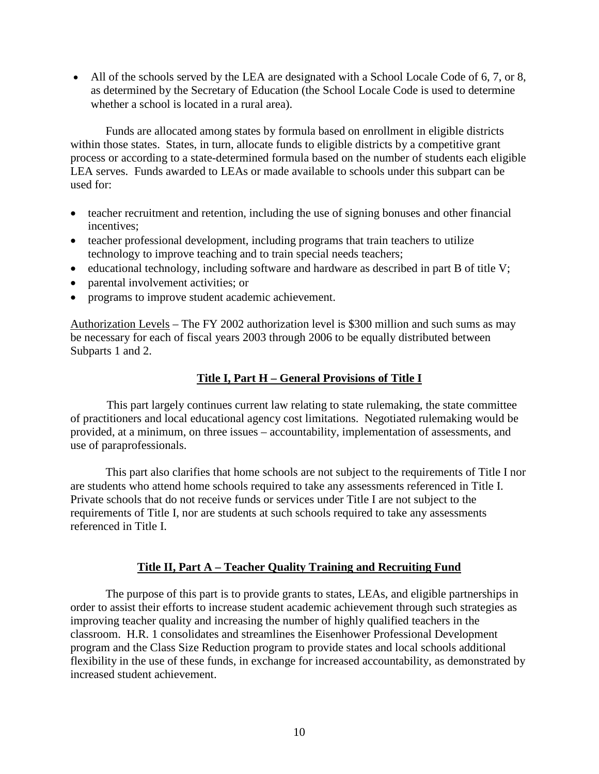• All of the schools served by the LEA are designated with a School Locale Code of 6, 7, or 8, as determined by the Secretary of Education (the School Locale Code is used to determine whether a school is located in a rural area).

Funds are allocated among states by formula based on enrollment in eligible districts within those states. States, in turn, allocate funds to eligible districts by a competitive grant process or according to a state-determined formula based on the number of students each eligible LEA serves. Funds awarded to LEAs or made available to schools under this subpart can be used for:

- teacher recruitment and retention, including the use of signing bonuses and other financial incentives;
- teacher professional development, including programs that train teachers to utilize technology to improve teaching and to train special needs teachers;
- educational technology, including software and hardware as described in part B of title V;
- parental involvement activities; or
- programs to improve student academic achievement.

Authorization Levels – The FY 2002 authorization level is \$300 million and such sums as may be necessary for each of fiscal years 2003 through 2006 to be equally distributed between Subparts 1 and 2.

# **Title I, Part H – General Provisions of Title I**

This part largely continues current law relating to state rulemaking, the state committee of practitioners and local educational agency cost limitations. Negotiated rulemaking would be provided, at a minimum, on three issues – accountability, implementation of assessments, and use of paraprofessionals.

This part also clarifies that home schools are not subject to the requirements of Title I nor are students who attend home schools required to take any assessments referenced in Title I. Private schools that do not receive funds or services under Title I are not subject to the requirements of Title I, nor are students at such schools required to take any assessments referenced in Title I.

### **Title II, Part A – Teacher Quality Training and Recruiting Fund**

The purpose of this part is to provide grants to states, LEAs, and eligible partnerships in order to assist their efforts to increase student academic achievement through such strategies as improving teacher quality and increasing the number of highly qualified teachers in the classroom. H.R. 1 consolidates and streamlines the Eisenhower Professional Development program and the Class Size Reduction program to provide states and local schools additional flexibility in the use of these funds, in exchange for increased accountability, as demonstrated by increased student achievement.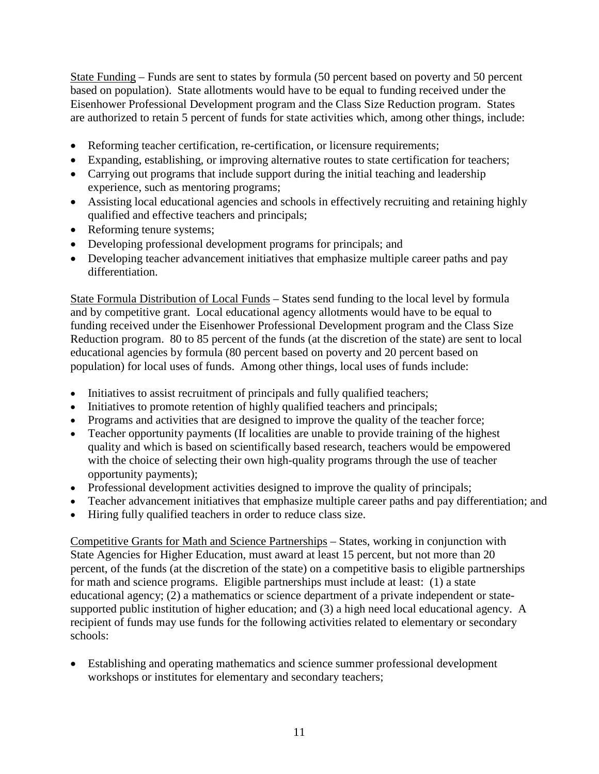State Funding – Funds are sent to states by formula (50 percent based on poverty and 50 percent based on population). State allotments would have to be equal to funding received under the Eisenhower Professional Development program and the Class Size Reduction program. States are authorized to retain 5 percent of funds for state activities which, among other things, include:

- Reforming teacher certification, re-certification, or licensure requirements;
- Expanding, establishing, or improving alternative routes to state certification for teachers;
- Carrying out programs that include support during the initial teaching and leadership experience, such as mentoring programs;
- Assisting local educational agencies and schools in effectively recruiting and retaining highly qualified and effective teachers and principals;
- Reforming tenure systems;
- Developing professional development programs for principals; and
- Developing teacher advancement initiatives that emphasize multiple career paths and pay differentiation.

State Formula Distribution of Local Funds – States send funding to the local level by formula and by competitive grant. Local educational agency allotments would have to be equal to funding received under the Eisenhower Professional Development program and the Class Size Reduction program. 80 to 85 percent of the funds (at the discretion of the state) are sent to local educational agencies by formula (80 percent based on poverty and 20 percent based on population) for local uses of funds. Among other things, local uses of funds include:

- Initiatives to assist recruitment of principals and fully qualified teachers;
- Initiatives to promote retention of highly qualified teachers and principals;
- Programs and activities that are designed to improve the quality of the teacher force;
- Teacher opportunity payments (If localities are unable to provide training of the highest quality and which is based on scientifically based research, teachers would be empowered with the choice of selecting their own high-quality programs through the use of teacher opportunity payments);
- Professional development activities designed to improve the quality of principals;
- Teacher advancement initiatives that emphasize multiple career paths and pay differentiation; and
- Hiring fully qualified teachers in order to reduce class size.

Competitive Grants for Math and Science Partnerships – States, working in conjunction with State Agencies for Higher Education, must award at least 15 percent, but not more than 20 percent, of the funds (at the discretion of the state) on a competitive basis to eligible partnerships for math and science programs. Eligible partnerships must include at least: (1) a state educational agency; (2) a mathematics or science department of a private independent or statesupported public institution of higher education; and (3) a high need local educational agency. A recipient of funds may use funds for the following activities related to elementary or secondary schools:

• Establishing and operating mathematics and science summer professional development workshops or institutes for elementary and secondary teachers;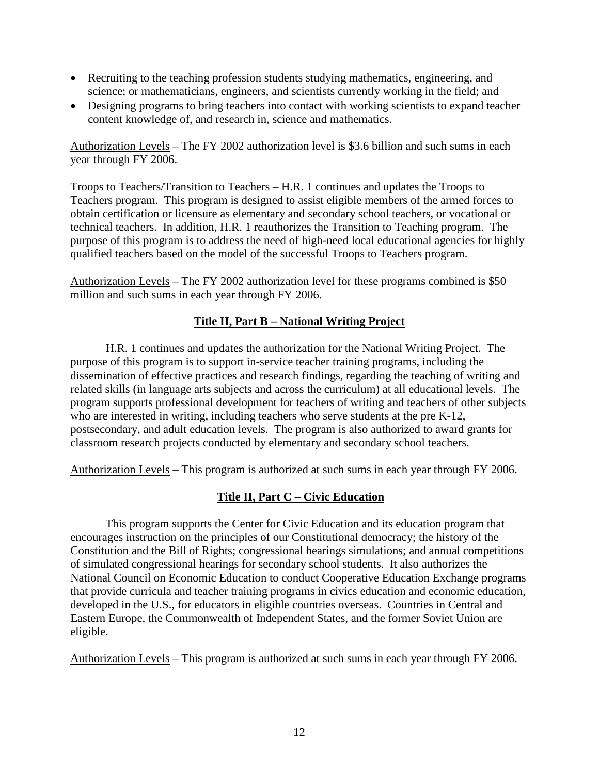- Recruiting to the teaching profession students studying mathematics, engineering, and science; or mathematicians, engineers, and scientists currently working in the field; and
- Designing programs to bring teachers into contact with working scientists to expand teacher content knowledge of, and research in, science and mathematics.

Authorization Levels – The FY 2002 authorization level is \$3.6 billion and such sums in each year through FY 2006.

Troops to Teachers/Transition to Teachers – H.R. 1 continues and updates the Troops to Teachers program. This program is designed to assist eligible members of the armed forces to obtain certification or licensure as elementary and secondary school teachers, or vocational or technical teachers. In addition, H.R. 1 reauthorizes the Transition to Teaching program. The purpose of this program is to address the need of high-need local educational agencies for highly qualified teachers based on the model of the successful Troops to Teachers program.

Authorization Levels – The FY 2002 authorization level for these programs combined is \$50 million and such sums in each year through FY 2006.

### **Title II, Part B – National Writing Project**

H.R. 1 continues and updates the authorization for the National Writing Project. The purpose of this program is to support in-service teacher training programs, including the dissemination of effective practices and research findings, regarding the teaching of writing and related skills (in language arts subjects and across the curriculum) at all educational levels. The program supports professional development for teachers of writing and teachers of other subjects who are interested in writing, including teachers who serve students at the pre K-12, postsecondary, and adult education levels. The program is also authorized to award grants for classroom research projects conducted by elementary and secondary school teachers.

Authorization Levels – This program is authorized at such sums in each year through FY 2006.

# **Title II, Part C – Civic Education**

This program supports the Center for Civic Education and its education program that encourages instruction on the principles of our Constitutional democracy; the history of the Constitution and the Bill of Rights; congressional hearings simulations; and annual competitions of simulated congressional hearings for secondary school students. It also authorizes the National Council on Economic Education to conduct Cooperative Education Exchange programs that provide curricula and teacher training programs in civics education and economic education, developed in the U.S., for educators in eligible countries overseas. Countries in Central and Eastern Europe, the Commonwealth of Independent States, and the former Soviet Union are eligible.

Authorization Levels – This program is authorized at such sums in each year through FY 2006.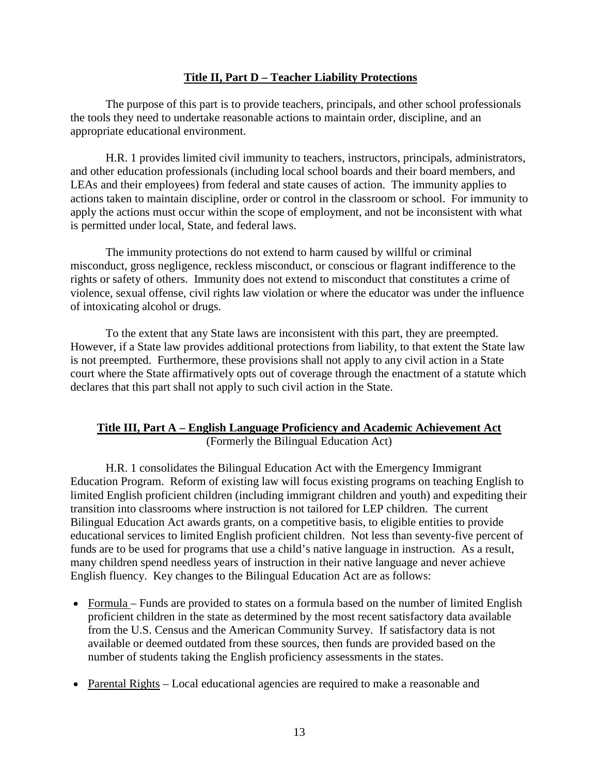#### **Title II, Part D – Teacher Liability Protections**

The purpose of this part is to provide teachers, principals, and other school professionals the tools they need to undertake reasonable actions to maintain order, discipline, and an appropriate educational environment.

H.R. 1 provides limited civil immunity to teachers, instructors, principals, administrators, and other education professionals (including local school boards and their board members, and LEAs and their employees) from federal and state causes of action. The immunity applies to actions taken to maintain discipline, order or control in the classroom or school. For immunity to apply the actions must occur within the scope of employment, and not be inconsistent with what is permitted under local, State, and federal laws.

The immunity protections do not extend to harm caused by willful or criminal misconduct, gross negligence, reckless misconduct, or conscious or flagrant indifference to the rights or safety of others. Immunity does not extend to misconduct that constitutes a crime of violence, sexual offense, civil rights law violation or where the educator was under the influence of intoxicating alcohol or drugs.

To the extent that any State laws are inconsistent with this part, they are preempted. However, if a State law provides additional protections from liability, to that extent the State law is not preempted. Furthermore, these provisions shall not apply to any civil action in a State court where the State affirmatively opts out of coverage through the enactment of a statute which declares that this part shall not apply to such civil action in the State.

#### **Title III, Part A – English Language Proficiency and Academic Achievement Act** (Formerly the Bilingual Education Act)

H.R. 1 consolidates the Bilingual Education Act with the Emergency Immigrant Education Program. Reform of existing law will focus existing programs on teaching English to limited English proficient children (including immigrant children and youth) and expediting their transition into classrooms where instruction is not tailored for LEP children. The current Bilingual Education Act awards grants, on a competitive basis, to eligible entities to provide educational services to limited English proficient children. Not less than seventy-five percent of funds are to be used for programs that use a child's native language in instruction. As a result, many children spend needless years of instruction in their native language and never achieve English fluency. Key changes to the Bilingual Education Act are as follows:

- Formula Funds are provided to states on a formula based on the number of limited English proficient children in the state as determined by the most recent satisfactory data available from the U.S. Census and the American Community Survey. If satisfactory data is not available or deemed outdated from these sources, then funds are provided based on the number of students taking the English proficiency assessments in the states.
- Parental Rights Local educational agencies are required to make a reasonable and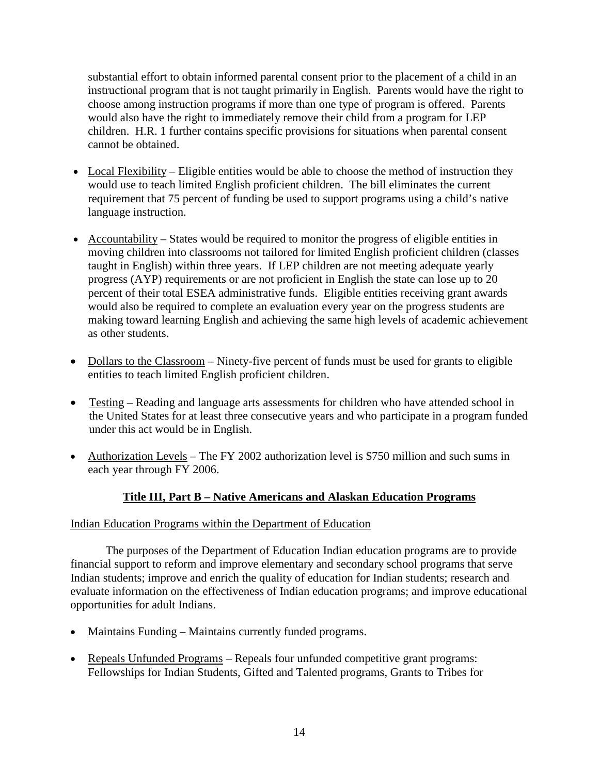substantial effort to obtain informed parental consent prior to the placement of a child in an instructional program that is not taught primarily in English. Parents would have the right to choose among instruction programs if more than one type of program is offered. Parents would also have the right to immediately remove their child from a program for LEP children. H.R. 1 further contains specific provisions for situations when parental consent cannot be obtained.

- Local Flexibility Eligible entities would be able to choose the method of instruction they would use to teach limited English proficient children. The bill eliminates the current requirement that 75 percent of funding be used to support programs using a child's native language instruction.
- Accountability States would be required to monitor the progress of eligible entities in moving children into classrooms not tailored for limited English proficient children (classes taught in English) within three years. If LEP children are not meeting adequate yearly progress (AYP) requirements or are not proficient in English the state can lose up to 20 percent of their total ESEA administrative funds. Eligible entities receiving grant awards would also be required to complete an evaluation every year on the progress students are making toward learning English and achieving the same high levels of academic achievement as other students.
- Dollars to the Classroom Ninety-five percent of funds must be used for grants to eligible entities to teach limited English proficient children.
- Testing Reading and language arts assessments for children who have attended school in the United States for at least three consecutive years and who participate in a program funded under this act would be in English.
- Authorization Levels The FY 2002 authorization level is \$750 million and such sums in each year through FY 2006.

# **Title III, Part B – Native Americans and Alaskan Education Programs**

### Indian Education Programs within the Department of Education

The purposes of the Department of Education Indian education programs are to provide financial support to reform and improve elementary and secondary school programs that serve Indian students; improve and enrich the quality of education for Indian students; research and evaluate information on the effectiveness of Indian education programs; and improve educational opportunities for adult Indians.

- Maintains Funding Maintains currently funded programs.
- Repeals Unfunded Programs Repeals four unfunded competitive grant programs: Fellowships for Indian Students, Gifted and Talented programs, Grants to Tribes for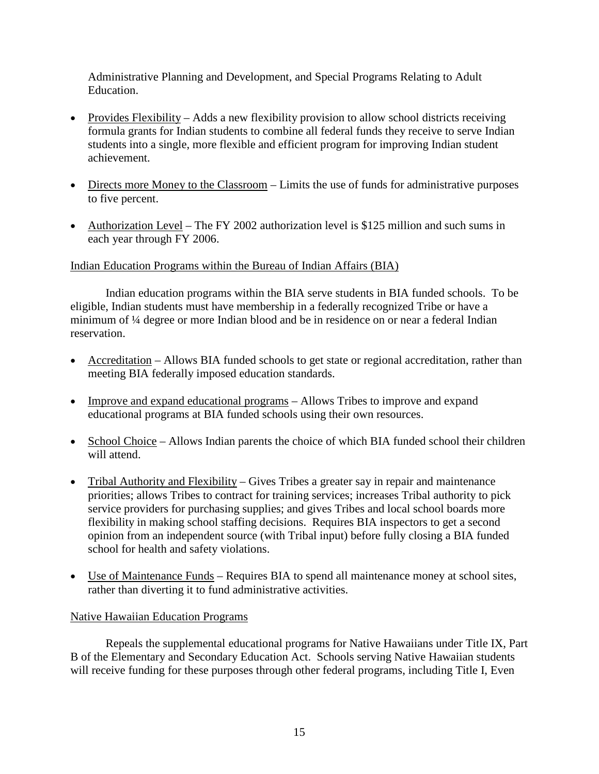Administrative Planning and Development, and Special Programs Relating to Adult Education.

- Provides Flexibility Adds a new flexibility provision to allow school districts receiving formula grants for Indian students to combine all federal funds they receive to serve Indian students into a single, more flexible and efficient program for improving Indian student achievement.
- Directs more Money to the Classroom Limits the use of funds for administrative purposes to five percent.
- Authorization Level The FY 2002 authorization level is \$125 million and such sums in each year through FY 2006.

#### Indian Education Programs within the Bureau of Indian Affairs (BIA)

Indian education programs within the BIA serve students in BIA funded schools. To be eligible, Indian students must have membership in a federally recognized Tribe or have a minimum of ¼ degree or more Indian blood and be in residence on or near a federal Indian reservation.

- Accreditation Allows BIA funded schools to get state or regional accreditation, rather than meeting BIA federally imposed education standards.
- Improve and expand educational programs Allows Tribes to improve and expand educational programs at BIA funded schools using their own resources.
- School Choice Allows Indian parents the choice of which BIA funded school their children will attend.
- Tribal Authority and Flexibility Gives Tribes a greater say in repair and maintenance priorities; allows Tribes to contract for training services; increases Tribal authority to pick service providers for purchasing supplies; and gives Tribes and local school boards more flexibility in making school staffing decisions. Requires BIA inspectors to get a second opinion from an independent source (with Tribal input) before fully closing a BIA funded school for health and safety violations.
- Use of Maintenance Funds Requires BIA to spend all maintenance money at school sites, rather than diverting it to fund administrative activities.

#### Native Hawaiian Education Programs

Repeals the supplemental educational programs for Native Hawaiians under Title IX, Part B of the Elementary and Secondary Education Act. Schools serving Native Hawaiian students will receive funding for these purposes through other federal programs, including Title I, Even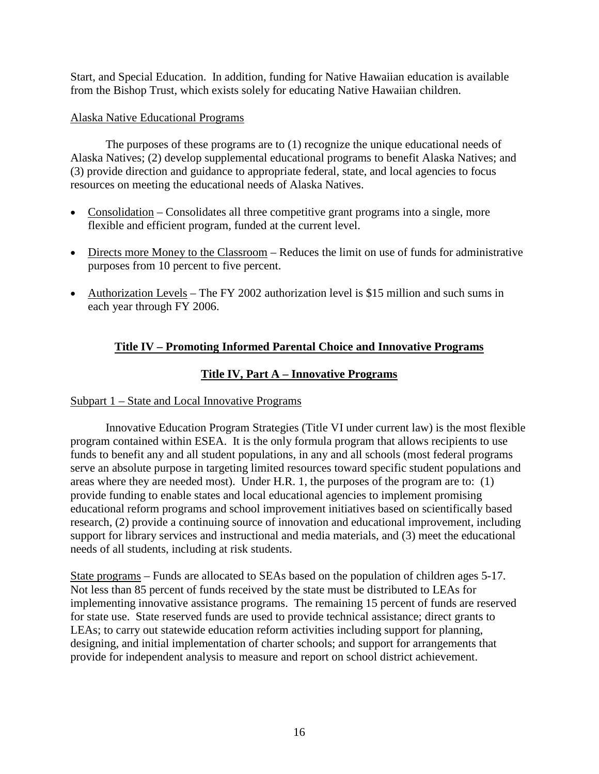Start, and Special Education. In addition, funding for Native Hawaiian education is available from the Bishop Trust, which exists solely for educating Native Hawaiian children.

# Alaska Native Educational Programs

The purposes of these programs are to (1) recognize the unique educational needs of Alaska Natives; (2) develop supplemental educational programs to benefit Alaska Natives; and (3) provide direction and guidance to appropriate federal, state, and local agencies to focus resources on meeting the educational needs of Alaska Natives.

- Consolidation Consolidates all three competitive grant programs into a single, more flexible and efficient program, funded at the current level.
- Directs more Money to the Classroom Reduces the limit on use of funds for administrative purposes from 10 percent to five percent.
- Authorization Levels The FY 2002 authorization level is \$15 million and such sums in each year through FY 2006.

# **Title IV – Promoting Informed Parental Choice and Innovative Programs**

# **Title IV, Part A – Innovative Programs**

# Subpart 1 – State and Local Innovative Programs

Innovative Education Program Strategies (Title VI under current law) is the most flexible program contained within ESEA. It is the only formula program that allows recipients to use funds to benefit any and all student populations, in any and all schools (most federal programs serve an absolute purpose in targeting limited resources toward specific student populations and areas where they are needed most). Under H.R. 1, the purposes of the program are to: (1) provide funding to enable states and local educational agencies to implement promising educational reform programs and school improvement initiatives based on scientifically based research, (2) provide a continuing source of innovation and educational improvement, including support for library services and instructional and media materials, and (3) meet the educational needs of all students, including at risk students.

State programs – Funds are allocated to SEAs based on the population of children ages 5-17. Not less than 85 percent of funds received by the state must be distributed to LEAs for implementing innovative assistance programs. The remaining 15 percent of funds are reserved for state use. State reserved funds are used to provide technical assistance; direct grants to LEAs; to carry out statewide education reform activities including support for planning, designing, and initial implementation of charter schools; and support for arrangements that provide for independent analysis to measure and report on school district achievement.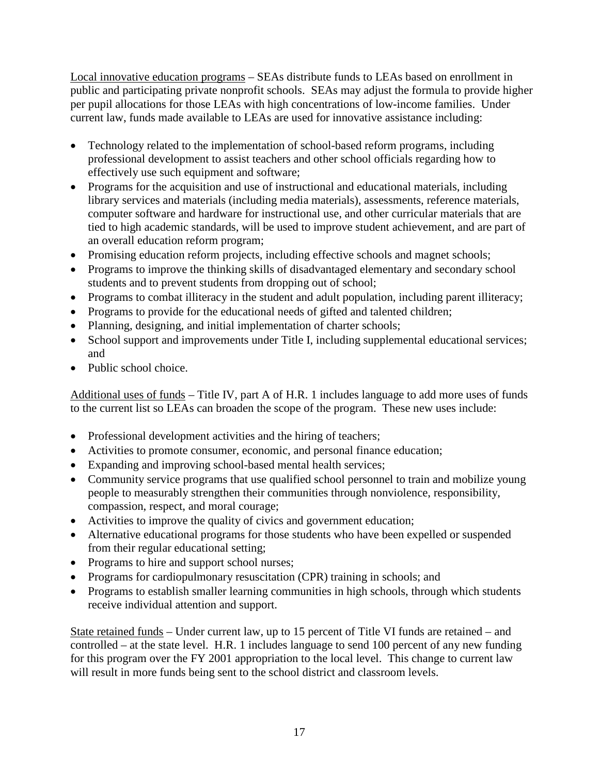Local innovative education programs – SEAs distribute funds to LEAs based on enrollment in public and participating private nonprofit schools. SEAs may adjust the formula to provide higher per pupil allocations for those LEAs with high concentrations of low-income families. Under current law, funds made available to LEAs are used for innovative assistance including:

- Technology related to the implementation of school-based reform programs, including professional development to assist teachers and other school officials regarding how to effectively use such equipment and software;
- Programs for the acquisition and use of instructional and educational materials, including library services and materials (including media materials), assessments, reference materials, computer software and hardware for instructional use, and other curricular materials that are tied to high academic standards, will be used to improve student achievement, and are part of an overall education reform program;
- Promising education reform projects, including effective schools and magnet schools;
- Programs to improve the thinking skills of disadvantaged elementary and secondary school students and to prevent students from dropping out of school;
- Programs to combat illiteracy in the student and adult population, including parent illiteracy;
- Programs to provide for the educational needs of gifted and talented children;
- Planning, designing, and initial implementation of charter schools;
- School support and improvements under Title I, including supplemental educational services; and
- Public school choice.

Additional uses of funds – Title IV, part A of H.R. 1 includes language to add more uses of funds to the current list so LEAs can broaden the scope of the program. These new uses include:

- Professional development activities and the hiring of teachers;
- Activities to promote consumer, economic, and personal finance education;
- Expanding and improving school-based mental health services;
- Community service programs that use qualified school personnel to train and mobilize young people to measurably strengthen their communities through nonviolence, responsibility, compassion, respect, and moral courage;
- Activities to improve the quality of civics and government education;
- Alternative educational programs for those students who have been expelled or suspended from their regular educational setting;
- Programs to hire and support school nurses;
- Programs for cardiopulmonary resuscitation (CPR) training in schools; and
- Programs to establish smaller learning communities in high schools, through which students receive individual attention and support.

State retained funds – Under current law, up to 15 percent of Title VI funds are retained – and controlled – at the state level. H.R. 1 includes language to send 100 percent of any new funding for this program over the FY 2001 appropriation to the local level. This change to current law will result in more funds being sent to the school district and classroom levels.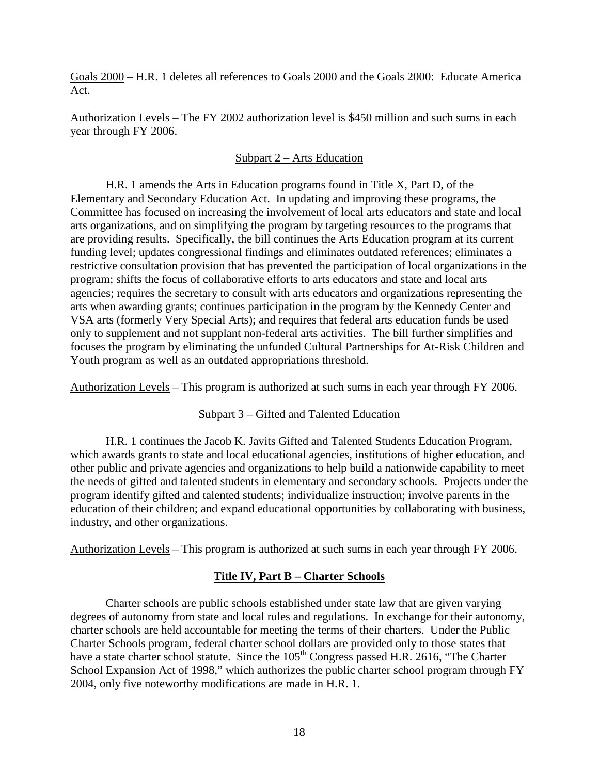Goals 2000 – H.R. 1 deletes all references to Goals 2000 and the Goals 2000: Educate America Act.

Authorization Levels – The FY 2002 authorization level is \$450 million and such sums in each year through FY 2006.

### Subpart 2 – Arts Education

H.R. 1 amends the Arts in Education programs found in Title X, Part D, of the Elementary and Secondary Education Act. In updating and improving these programs, the Committee has focused on increasing the involvement of local arts educators and state and local arts organizations, and on simplifying the program by targeting resources to the programs that are providing results. Specifically, the bill continues the Arts Education program at its current funding level; updates congressional findings and eliminates outdated references; eliminates a restrictive consultation provision that has prevented the participation of local organizations in the program; shifts the focus of collaborative efforts to arts educators and state and local arts agencies; requires the secretary to consult with arts educators and organizations representing the arts when awarding grants; continues participation in the program by the Kennedy Center and VSA arts (formerly Very Special Arts); and requires that federal arts education funds be used only to supplement and not supplant non-federal arts activities. The bill further simplifies and focuses the program by eliminating the unfunded Cultural Partnerships for At-Risk Children and Youth program as well as an outdated appropriations threshold.

Authorization Levels – This program is authorized at such sums in each year through FY 2006.

### Subpart 3 – Gifted and Talented Education

H.R. 1 continues the Jacob K. Javits Gifted and Talented Students Education Program, which awards grants to state and local educational agencies, institutions of higher education, and other public and private agencies and organizations to help build a nationwide capability to meet the needs of gifted and talented students in elementary and secondary schools. Projects under the program identify gifted and talented students; individualize instruction; involve parents in the education of their children; and expand educational opportunities by collaborating with business, industry, and other organizations.

Authorization Levels – This program is authorized at such sums in each year through FY 2006.

### **Title IV, Part B – Charter Schools**

Charter schools are public schools established under state law that are given varying degrees of autonomy from state and local rules and regulations. In exchange for their autonomy, charter schools are held accountable for meeting the terms of their charters.Under the Public Charter Schools program, federal charter school dollars are provided only to those states that have a state charter school statute. Since the 105<sup>th</sup> Congress passed H.R. 2616, "The Charter School Expansion Act of 1998," which authorizes the public charter school program through FY 2004, only five noteworthy modifications are made in H.R. 1.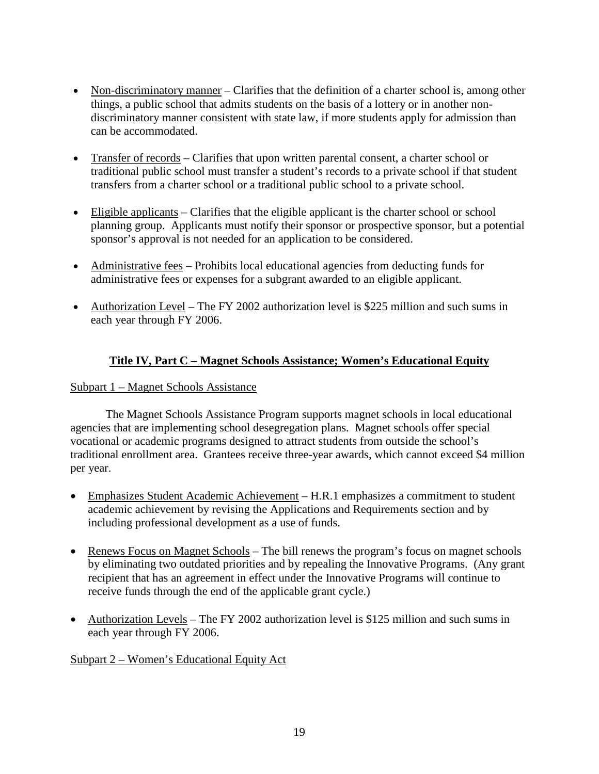- Non-discriminatory manner Clarifies that the definition of a charter school is, among other things, a public school that admits students on the basis of a lottery or in another nondiscriminatory manner consistent with state law, if more students apply for admission than can be accommodated.
- Transfer of records Clarifies that upon written parental consent, a charter school or traditional public school must transfer a student's records to a private school if that student transfers from a charter school or a traditional public school to a private school.
- Eligible applicants Clarifies that the eligible applicant is the charter school or school planning group. Applicants must notify their sponsor or prospective sponsor, but a potential sponsor's approval is not needed for an application to be considered.
- Administrative fees Prohibits local educational agencies from deducting funds for administrative fees or expenses for a subgrant awarded to an eligible applicant.
- Authorization Level The FY 2002 authorization level is \$225 million and such sums in each year through FY 2006.

# **Title IV, Part C – Magnet Schools Assistance; Women's Educational Equity**

### Subpart 1 – Magnet Schools Assistance

The Magnet Schools Assistance Program supports magnet schools in local educational agencies that are implementing school desegregation plans. Magnet schools offer special vocational or academic programs designed to attract students from outside the school's traditional enrollment area. Grantees receive three-year awards, which cannot exceed \$4 million per year.

- Emphasizes Student Academic Achievement H.R.1 emphasizes a commitment to student academic achievement by revising the Applications and Requirements section and by including professional development as a use of funds.
- Renews Focus on Magnet Schools The bill renews the program's focus on magnet schools by eliminating two outdated priorities and by repealing the Innovative Programs. (Any grant recipient that has an agreement in effect under the Innovative Programs will continue to receive funds through the end of the applicable grant cycle.)
- Authorization Levels The FY 2002 authorization level is \$125 million and such sums in each year through FY 2006.

### Subpart 2 – Women's Educational Equity Act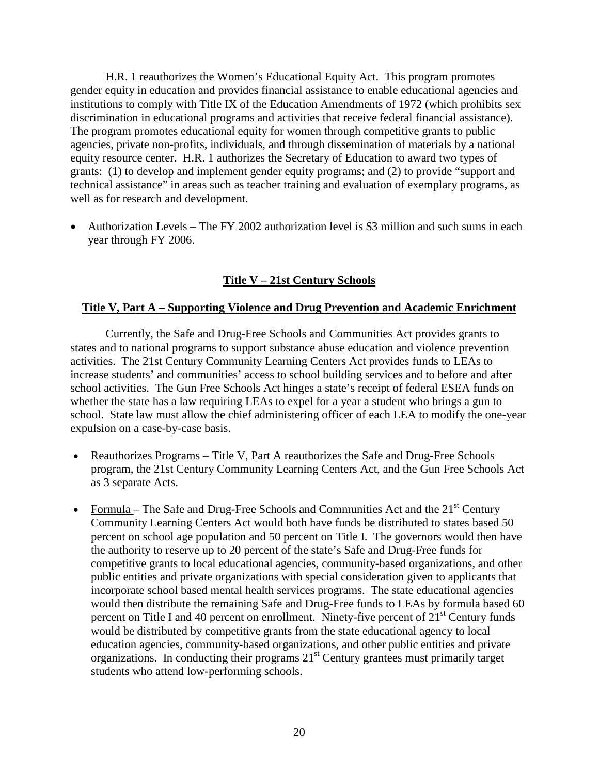H.R. 1 reauthorizes the Women's Educational Equity Act. This program promotes gender equity in education and provides financial assistance to enable educational agencies and institutions to comply with Title IX of the Education Amendments of 1972 (which prohibits sex discrimination in educational programs and activities that receive federal financial assistance). The program promotes educational equity for women through competitive grants to public agencies, private non-profits, individuals, and through dissemination of materials by a national equity resource center. H.R. 1 authorizes the Secretary of Education to award two types of grants: (1) to develop and implement gender equity programs; and (2) to provide "support and technical assistance" in areas such as teacher training and evaluation of exemplary programs, as well as for research and development.

• Authorization Levels – The FY 2002 authorization level is \$3 million and such sums in each year through FY 2006.

# **Title V – 21st Century Schools**

#### **Title V, Part A – Supporting Violence and Drug Prevention and Academic Enrichment**

Currently, the Safe and Drug-Free Schools and Communities Act provides grants to states and to national programs to support substance abuse education and violence prevention activities. The 21st Century Community Learning Centers Act provides funds to LEAs to increase students' and communities' access to school building services and to before and after school activities. The Gun Free Schools Act hinges a state's receipt of federal ESEA funds on whether the state has a law requiring LEAs to expel for a year a student who brings a gun to school. State law must allow the chief administering officer of each LEA to modify the one-year expulsion on a case-by-case basis.

- Reauthorizes Programs Title V, Part A reauthorizes the Safe and Drug-Free Schools program, the 21st Century Community Learning Centers Act, and the Gun Free Schools Act as 3 separate Acts.
- Formula The Safe and Drug-Free Schools and Communities Act and the  $21<sup>st</sup>$  Century Community Learning Centers Act would both have funds be distributed to states based 50 percent on school age population and 50 percent on Title I. The governors would then have the authority to reserve up to 20 percent of the state's Safe and Drug-Free funds for competitive grants to local educational agencies, community-based organizations, and other public entities and private organizations with special consideration given to applicants that incorporate school based mental health services programs. The state educational agencies would then distribute the remaining Safe and Drug-Free funds to LEAs by formula based 60 percent on Title I and 40 percent on enrollment. Ninety-five percent of  $21<sup>st</sup>$  Century funds would be distributed by competitive grants from the state educational agency to local education agencies, community-based organizations, and other public entities and private organizations. In conducting their programs  $21<sup>st</sup>$  Century grantees must primarily target students who attend low-performing schools.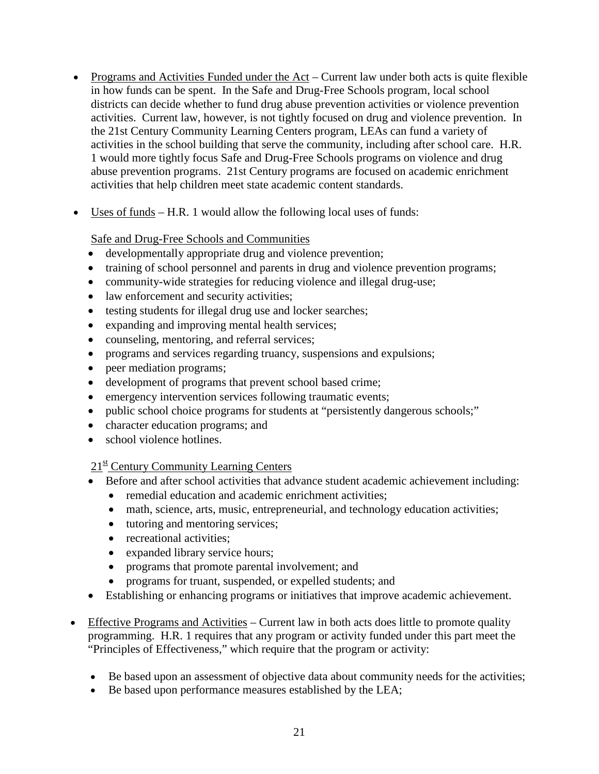- Programs and Activities Funded under the Act Current law under both acts is quite flexible in how funds can be spent. In the Safe and Drug-Free Schools program, local school districts can decide whether to fund drug abuse prevention activities or violence prevention activities. Current law, however, is not tightly focused on drug and violence prevention. In the 21st Century Community Learning Centers program, LEAs can fund a variety of activities in the school building that serve the community, including after school care. H.R. 1 would more tightly focus Safe and Drug-Free Schools programs on violence and drug abuse prevention programs. 21st Century programs are focused on academic enrichment activities that help children meet state academic content standards.
- Uses of funds H.R. 1 would allow the following local uses of funds:

Safe and Drug-Free Schools and Communities

- developmentally appropriate drug and violence prevention;
- training of school personnel and parents in drug and violence prevention programs;
- community-wide strategies for reducing violence and illegal drug-use;
- law enforcement and security activities;
- testing students for illegal drug use and locker searches;
- expanding and improving mental health services;
- counseling, mentoring, and referral services;
- programs and services regarding truancy, suspensions and expulsions;
- peer mediation programs;
- development of programs that prevent school based crime;
- emergency intervention services following traumatic events;
- public school choice programs for students at "persistently dangerous schools;"
- character education programs; and
- school violence hotlines.

### $21<sup>st</sup>$  Century Community Learning Centers

- Before and after school activities that advance student academic achievement including:
	- remedial education and academic enrichment activities;
	- math, science, arts, music, entrepreneurial, and technology education activities;
	- tutoring and mentoring services;
	- recreational activities;
	- expanded library service hours;
	- programs that promote parental involvement; and
	- programs for truant, suspended, or expelled students; and
- Establishing or enhancing programs or initiatives that improve academic achievement.
- Effective Programs and Activities Current law in both acts does little to promote quality programming. H.R. 1 requires that any program or activity funded under this part meet the "Principles of Effectiveness," which require that the program or activity:
	- Be based upon an assessment of objective data about community needs for the activities;
	- Be based upon performance measures established by the LEA;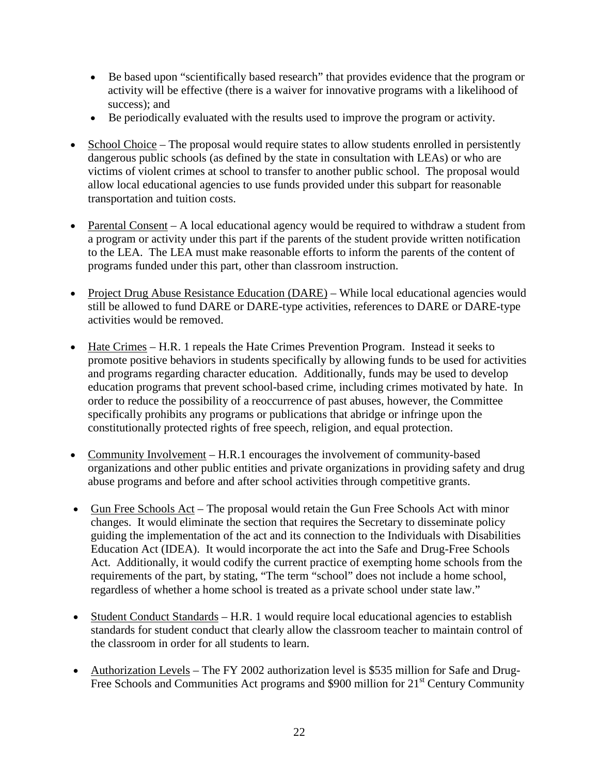- Be based upon "scientifically based research" that provides evidence that the program or activity will be effective (there is a waiver for innovative programs with a likelihood of success); and
- Be periodically evaluated with the results used to improve the program or activity.
- School Choice The proposal would require states to allow students enrolled in persistently dangerous public schools (as defined by the state in consultation with LEAs) or who are victims of violent crimes at school to transfer to another public school. The proposal would allow local educational agencies to use funds provided under this subpart for reasonable transportation and tuition costs.
- Parental Consent A local educational agency would be required to withdraw a student from a program or activity under this part if the parents of the student provide written notification to the LEA. The LEA must make reasonable efforts to inform the parents of the content of programs funded under this part, other than classroom instruction.
- Project Drug Abuse Resistance Education (DARE) While local educational agencies would still be allowed to fund DARE or DARE-type activities, references to DARE or DARE-type activities would be removed.
- Hate Crimes H.R. 1 repeals the Hate Crimes Prevention Program. Instead it seeks to promote positive behaviors in students specifically by allowing funds to be used for activities and programs regarding character education. Additionally, funds may be used to develop education programs that prevent school-based crime, including crimes motivated by hate. In order to reduce the possibility of a reoccurrence of past abuses, however, the Committee specifically prohibits any programs or publications that abridge or infringe upon the constitutionally protected rights of free speech, religion, and equal protection.
- Community Involvement H.R.1 encourages the involvement of community-based organizations and other public entities and private organizations in providing safety and drug abuse programs and before and after school activities through competitive grants.
- Gun Free Schools Act The proposal would retain the Gun Free Schools Act with minor changes. It would eliminate the section that requires the Secretary to disseminate policy guiding the implementation of the act and its connection to the Individuals with Disabilities Education Act (IDEA). It would incorporate the act into the Safe and Drug-Free Schools Act. Additionally, it would codify the current practice of exempting home schools from the requirements of the part, by stating, "The term "school" does not include a home school, regardless of whether a home school is treated as a private school under state law."
- Student Conduct Standards H.R. 1 would require local educational agencies to establish standards for student conduct that clearly allow the classroom teacher to maintain control of the classroom in order for all students to learn.
- Authorization Levels The FY 2002 authorization level is \$535 million for Safe and Drug-Free Schools and Communities Act programs and  $$900$  million for  $21<sup>st</sup>$  Century Community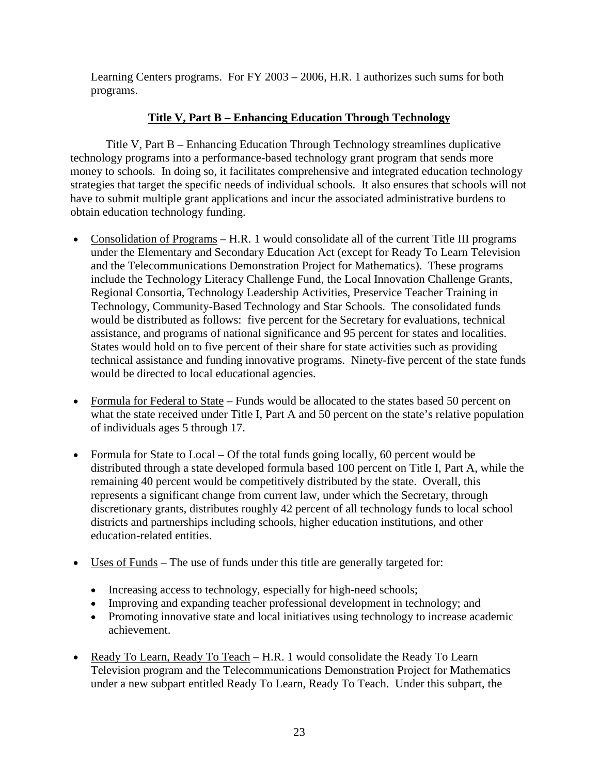Learning Centers programs. For FY 2003 – 2006, H.R. 1 authorizes such sums for both programs.

# **Title V, Part B – Enhancing Education Through Technology**

Title V, Part B – Enhancing Education Through Technology streamlines duplicative technology programs into a performance-based technology grant program that sends more money to schools. In doing so, it facilitates comprehensive and integrated education technology strategies that target the specific needs of individual schools. It also ensures that schools will not have to submit multiple grant applications and incur the associated administrative burdens to obtain education technology funding.

- Consolidation of Programs H.R. 1 would consolidate all of the current Title III programs under the Elementary and Secondary Education Act (except for Ready To Learn Television and the Telecommunications Demonstration Project for Mathematics). These programs include the Technology Literacy Challenge Fund, the Local Innovation Challenge Grants, Regional Consortia, Technology Leadership Activities, Preservice Teacher Training in Technology, Community-Based Technology and Star Schools. The consolidated funds would be distributed as follows: five percent for the Secretary for evaluations, technical assistance, and programs of national significance and 95 percent for states and localities. States would hold on to five percent of their share for state activities such as providing technical assistance and funding innovative programs. Ninety-five percent of the state funds would be directed to local educational agencies.
- Formula for Federal to State Funds would be allocated to the states based 50 percent on what the state received under Title I, Part A and 50 percent on the state's relative population of individuals ages 5 through 17.
- Formula for State to Local Of the total funds going locally, 60 percent would be distributed through a state developed formula based 100 percent on Title I, Part A, while the remaining 40 percent would be competitively distributed by the state. Overall, this represents a significant change from current law, under which the Secretary, through discretionary grants, distributes roughly 42 percent of all technology funds to local school districts and partnerships including schools, higher education institutions, and other education-related entities.
- Uses of Funds The use of funds under this title are generally targeted for:
	- Increasing access to technology, especially for high-need schools;
	- Improving and expanding teacher professional development in technology; and
	- Promoting innovative state and local initiatives using technology to increase academic achievement.
- Ready To Learn, Ready To Teach H.R. 1 would consolidate the Ready To Learn Television program and the Telecommunications Demonstration Project for Mathematics under a new subpart entitled Ready To Learn, Ready To Teach. Under this subpart, the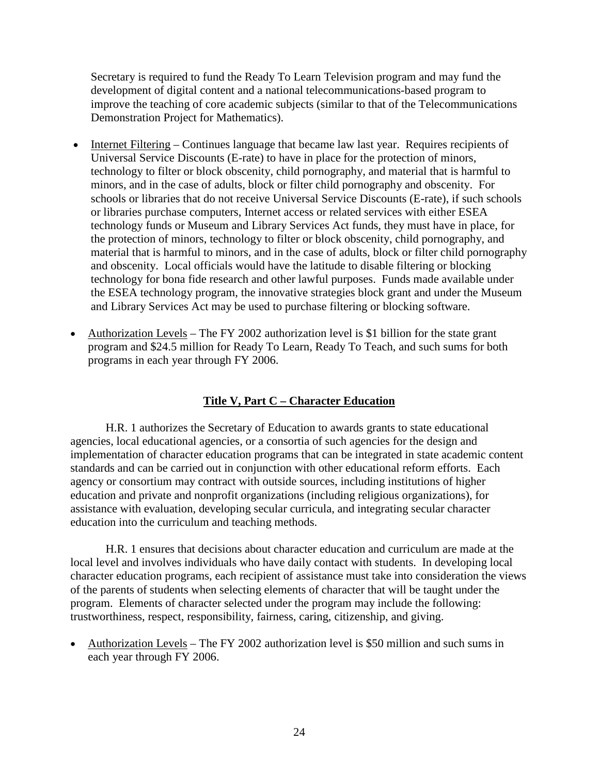Secretary is required to fund the Ready To Learn Television program and may fund the development of digital content and a national telecommunications-based program to improve the teaching of core academic subjects (similar to that of the Telecommunications Demonstration Project for Mathematics).

- Internet Filtering Continues language that became law last year. Requires recipients of Universal Service Discounts (E-rate) to have in place for the protection of minors, technology to filter or block obscenity, child pornography, and material that is harmful to minors, and in the case of adults, block or filter child pornography and obscenity. For schools or libraries that do not receive Universal Service Discounts (E-rate), if such schools or libraries purchase computers, Internet access or related services with either ESEA technology funds or Museum and Library Services Act funds, they must have in place, for the protection of minors, technology to filter or block obscenity, child pornography, and material that is harmful to minors, and in the case of adults, block or filter child pornography and obscenity. Local officials would have the latitude to disable filtering or blocking technology for bona fide research and other lawful purposes. Funds made available under the ESEA technology program, the innovative strategies block grant and under the Museum and Library Services Act may be used to purchase filtering or blocking software.
- Authorization Levels The FY 2002 authorization level is \$1 billion for the state grant program and \$24.5 million for Ready To Learn, Ready To Teach, and such sums for both programs in each year through FY 2006.

### **Title V, Part C – Character Education**

H.R. 1 authorizes the Secretary of Education to awards grants to state educational agencies, local educational agencies, or a consortia of such agencies for the design and implementation of character education programs that can be integrated in state academic content standards and can be carried out in conjunction with other educational reform efforts. Each agency or consortium may contract with outside sources, including institutions of higher education and private and nonprofit organizations (including religious organizations), for assistance with evaluation, developing secular curricula, and integrating secular character education into the curriculum and teaching methods.

H.R. 1 ensures that decisions about character education and curriculum are made at the local level and involves individuals who have daily contact with students. In developing local character education programs, each recipient of assistance must take into consideration the views of the parents of students when selecting elements of character that will be taught under the program. Elements of character selected under the program may include the following: trustworthiness, respect, responsibility, fairness, caring, citizenship, and giving.

• Authorization Levels – The FY 2002 authorization level is \$50 million and such sums in each year through FY 2006.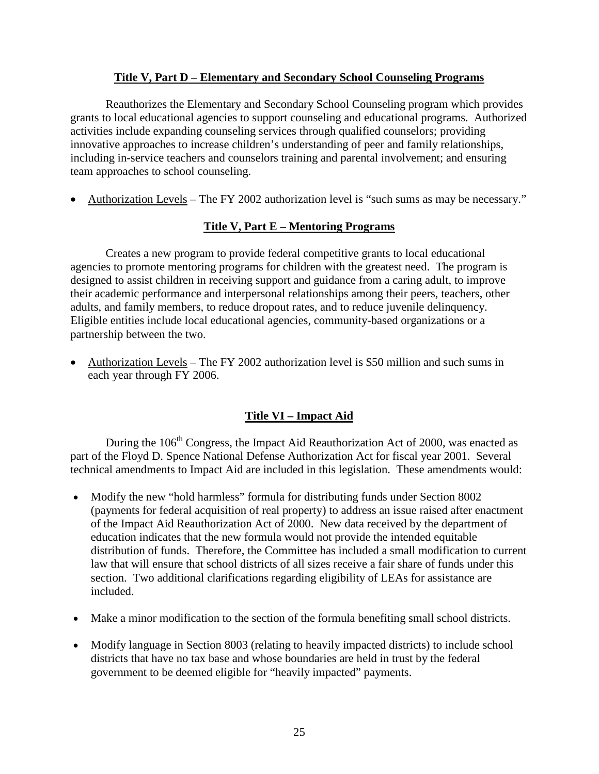#### **Title V, Part D – Elementary and Secondary School Counseling Programs**

Reauthorizes the Elementary and Secondary School Counseling program which provides grants to local educational agencies to support counseling and educational programs. Authorized activities include expanding counseling services through qualified counselors; providing innovative approaches to increase children's understanding of peer and family relationships, including in-service teachers and counselors training and parental involvement; and ensuring team approaches to school counseling.

• Authorization Levels – The FY 2002 authorization level is "such sums as may be necessary."

### **Title V, Part E – Mentoring Programs**

Creates a new program to provide federal competitive grants to local educational agencies to promote mentoring programs for children with the greatest need. The program is designed to assist children in receiving support and guidance from a caring adult, to improve their academic performance and interpersonal relationships among their peers, teachers, other adults, and family members, to reduce dropout rates, and to reduce juvenile delinquency. Eligible entities include local educational agencies, community-based organizations or a partnership between the two.

• Authorization Levels – The FY 2002 authorization level is \$50 million and such sums in each year through FY 2006.

# **Title VI – Impact Aid**

During the  $106<sup>th</sup>$  Congress, the Impact Aid Reauthorization Act of 2000, was enacted as part of the Floyd D. Spence National Defense Authorization Act for fiscal year 2001. Several technical amendments to Impact Aid are included in this legislation. These amendments would:

- Modify the new "hold harmless" formula for distributing funds under Section 8002 (payments for federal acquisition of real property) to address an issue raised after enactment of the Impact Aid Reauthorization Act of 2000. New data received by the department of education indicates that the new formula would not provide the intended equitable distribution of funds. Therefore, the Committee has included a small modification to current law that will ensure that school districts of all sizes receive a fair share of funds under this section. Two additional clarifications regarding eligibility of LEAs for assistance are included.
- Make a minor modification to the section of the formula benefiting small school districts.
- Modify language in Section 8003 (relating to heavily impacted districts) to include school districts that have no tax base and whose boundaries are held in trust by the federal government to be deemed eligible for "heavily impacted" payments.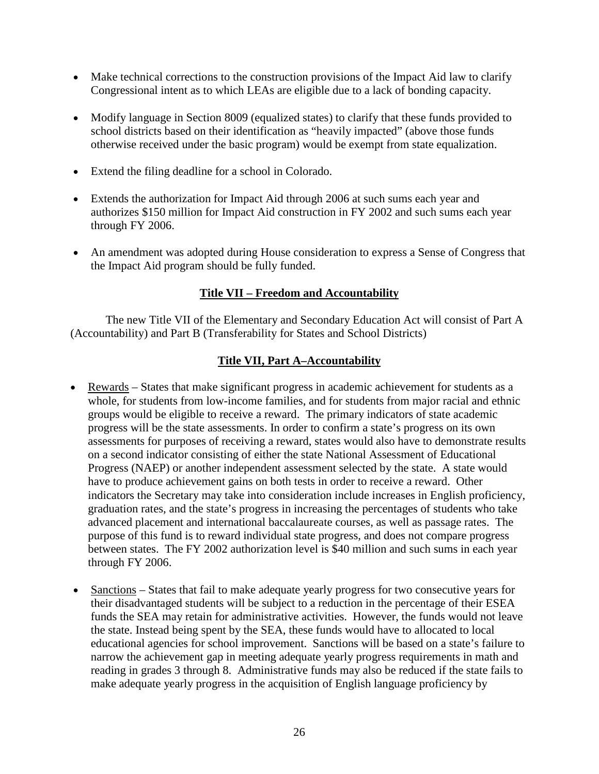- Make technical corrections to the construction provisions of the Impact Aid law to clarify Congressional intent as to which LEAs are eligible due to a lack of bonding capacity.
- Modify language in Section 8009 (equalized states) to clarify that these funds provided to school districts based on their identification as "heavily impacted" (above those funds otherwise received under the basic program) would be exempt from state equalization.
- Extend the filing deadline for a school in Colorado.
- Extends the authorization for Impact Aid through 2006 at such sums each year and authorizes \$150 million for Impact Aid construction in FY 2002 and such sums each year through FY 2006.
- An amendment was adopted during House consideration to express a Sense of Congress that the Impact Aid program should be fully funded.

# **Title VII – Freedom and Accountability**

The new Title VII of the Elementary and Secondary Education Act will consist of Part A (Accountability) and Part B (Transferability for States and School Districts)

# **Title VII, Part A–Accountability**

- Rewards States that make significant progress in academic achievement for students as a whole, for students from low-income families, and for students from major racial and ethnic groups would be eligible to receive a reward. The primary indicators of state academic progress will be the state assessments. In order to confirm a state's progress on its own assessments for purposes of receiving a reward, states would also have to demonstrate results on a second indicator consisting of either the state National Assessment of Educational Progress (NAEP) or another independent assessment selected by the state. A state would have to produce achievement gains on both tests in order to receive a reward. Other indicators the Secretary may take into consideration include increases in English proficiency, graduation rates, and the state's progress in increasing the percentages of students who take advanced placement and international baccalaureate courses, as well as passage rates. The purpose of this fund is to reward individual state progress, and does not compare progress between states. The FY 2002 authorization level is \$40 million and such sums in each year through FY 2006.
- Sanctions States that fail to make adequate yearly progress for two consecutive years for their disadvantaged students will be subject to a reduction in the percentage of their ESEA funds the SEA may retain for administrative activities. However, the funds would not leave the state. Instead being spent by the SEA, these funds would have to allocated to local educational agencies for school improvement. Sanctions will be based on a state's failure to narrow the achievement gap in meeting adequate yearly progress requirements in math and reading in grades 3 through 8. Administrative funds may also be reduced if the state fails to make adequate yearly progress in the acquisition of English language proficiency by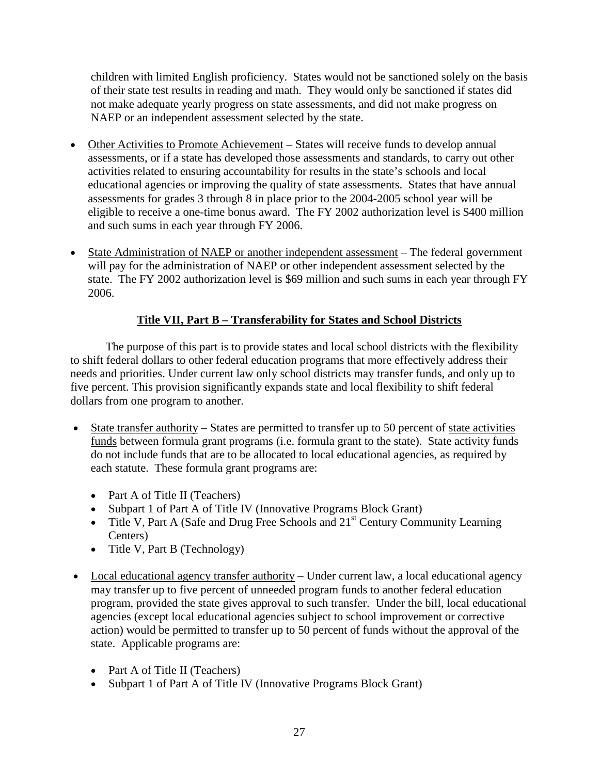children with limited English proficiency. States would not be sanctioned solely on the basis of their state test results in reading and math. They would only be sanctioned if states did not make adequate yearly progress on state assessments, and did not make progress on NAEP or an independent assessment selected by the state.

- Other Activities to Promote Achievement States will receive funds to develop annual assessments, or if a state has developed those assessments and standards, to carry out other activities related to ensuring accountability for results in the state's schools and local educational agencies or improving the quality of state assessments. States that have annual assessments for grades 3 through 8 in place prior to the 2004-2005 school year will be eligible to receive a one-time bonus award. The FY 2002 authorization level is \$400 million and such sums in each year through FY 2006.
- State Administration of NAEP or another independent assessment The federal government will pay for the administration of NAEP or other independent assessment selected by the state. The FY 2002 authorization level is \$69 million and such sums in each year through FY 2006.

# **Title VII, Part B – Transferability for States and School Districts**

The purpose of this part is to provide states and local school districts with the flexibility to shift federal dollars to other federal education programs that more effectively address their needs and priorities. Under current law only school districts may transfer funds, and only up to five percent. This provision significantly expands state and local flexibility to shift federal dollars from one program to another.

- State transfer authority States are permitted to transfer up to 50 percent of state activities funds between formula grant programs (i.e. formula grant to the state). State activity funds do not include funds that are to be allocated to local educational agencies, as required by each statute. These formula grant programs are:
	- Part A of Title II (Teachers)
	- Subpart 1 of Part A of Title IV (Innovative Programs Block Grant)
	- Title V, Part A (Safe and Drug Free Schools and 21<sup>st</sup> Century Community Learning Centers)
	- Title V, Part B (Technology)
- Local educational agency transfer authority Under current law, a local educational agency may transfer up to five percent of unneeded program funds to another federal education program, provided the state gives approval to such transfer. Under the bill, local educational agencies (except local educational agencies subject to school improvement or corrective action) would be permitted to transfer up to 50 percent of funds without the approval of the state. Applicable programs are:
	- Part A of Title II (Teachers)
	- Subpart 1 of Part A of Title IV (Innovative Programs Block Grant)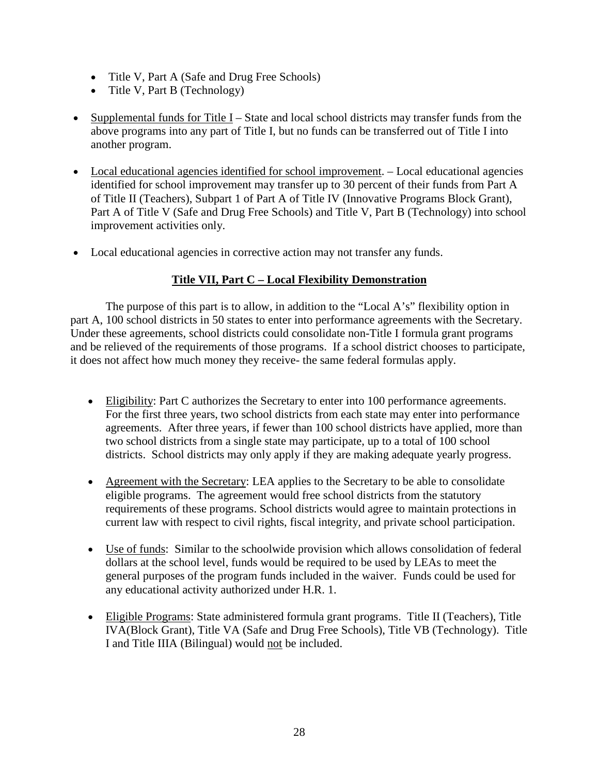- Title V, Part A (Safe and Drug Free Schools)
- Title V, Part B (Technology)
- Supplemental funds for Title I State and local school districts may transfer funds from the above programs into any part of Title I, but no funds can be transferred out of Title I into another program.
- Local educational agencies identified for school improvement. Local educational agencies identified for school improvement may transfer up to 30 percent of their funds from Part A of Title II (Teachers), Subpart 1 of Part A of Title IV (Innovative Programs Block Grant), Part A of Title V (Safe and Drug Free Schools) and Title V, Part B (Technology) into school improvement activities only.
- Local educational agencies in corrective action may not transfer any funds.

# **Title VII, Part C – Local Flexibility Demonstration**

The purpose of this part is to allow, in addition to the "Local A's" flexibility option in part A, 100 school districts in 50 states to enter into performance agreements with the Secretary. Under these agreements, school districts could consolidate non-Title I formula grant programs and be relieved of the requirements of those programs. If a school district chooses to participate, it does not affect how much money they receive- the same federal formulas apply.

- Eligibility: Part C authorizes the Secretary to enter into 100 performance agreements. For the first three years, two school districts from each state may enter into performance agreements. After three years, if fewer than 100 school districts have applied, more than two school districts from a single state may participate, up to a total of 100 school districts. School districts may only apply if they are making adequate yearly progress.
- Agreement with the Secretary: LEA applies to the Secretary to be able to consolidate eligible programs. The agreement would free school districts from the statutory requirements of these programs. School districts would agree to maintain protections in current law with respect to civil rights, fiscal integrity, and private school participation.
- Use of funds: Similar to the schoolwide provision which allows consolidation of federal dollars at the school level, funds would be required to be used by LEAs to meet the general purposes of the program funds included in the waiver. Funds could be used for any educational activity authorized under H.R. 1.
- Eligible Programs: State administered formula grant programs. Title II (Teachers), Title IVA(Block Grant), Title VA (Safe and Drug Free Schools), Title VB (Technology). Title I and Title IIIA (Bilingual) would not be included.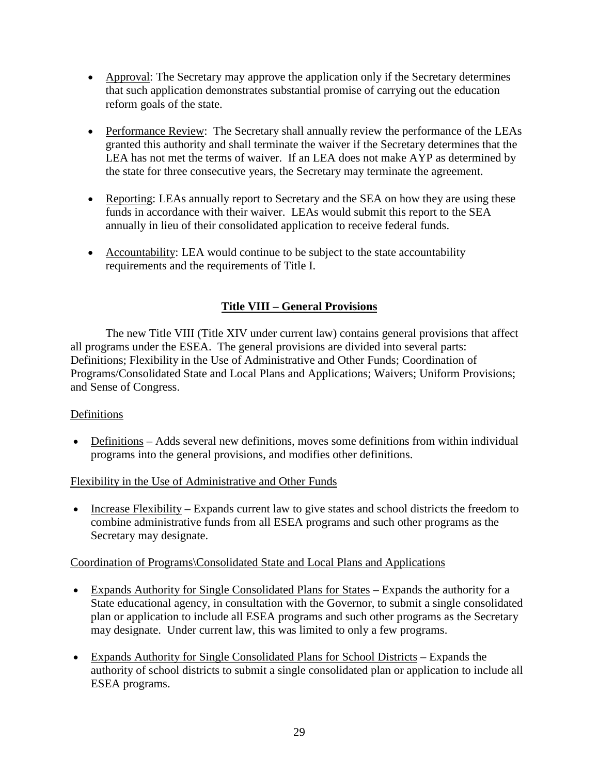- Approval: The Secretary may approve the application only if the Secretary determines that such application demonstrates substantial promise of carrying out the education reform goals of the state.
- Performance Review: The Secretary shall annually review the performance of the LEAs granted this authority and shall terminate the waiver if the Secretary determines that the LEA has not met the terms of waiver. If an LEA does not make AYP as determined by the state for three consecutive years, the Secretary may terminate the agreement.
- Reporting: LEAs annually report to Secretary and the SEA on how they are using these funds in accordance with their waiver. LEAs would submit this report to the SEA annually in lieu of their consolidated application to receive federal funds.
- Accountability: LEA would continue to be subject to the state accountability requirements and the requirements of Title I.

# **Title VIII – General Provisions**

The new Title VIII (Title XIV under current law) contains general provisions that affect all programs under the ESEA. The general provisions are divided into several parts: Definitions; Flexibility in the Use of Administrative and Other Funds; Coordination of Programs/Consolidated State and Local Plans and Applications; Waivers; Uniform Provisions; and Sense of Congress.

### Definitions

• Definitions – Adds several new definitions, moves some definitions from within individual programs into the general provisions, and modifies other definitions.

### Flexibility in the Use of Administrative and Other Funds

• Increase Flexibility – Expands current law to give states and school districts the freedom to combine administrative funds from all ESEA programs and such other programs as the Secretary may designate.

### Coordination of Programs\Consolidated State and Local Plans and Applications

- Expands Authority for Single Consolidated Plans for States Expands the authority for a State educational agency, in consultation with the Governor, to submit a single consolidated plan or application to include all ESEA programs and such other programs as the Secretary may designate. Under current law, this was limited to only a few programs.
- Expands Authority for Single Consolidated Plans for School Districts Expands the authority of school districts to submit a single consolidated plan or application to include all ESEA programs.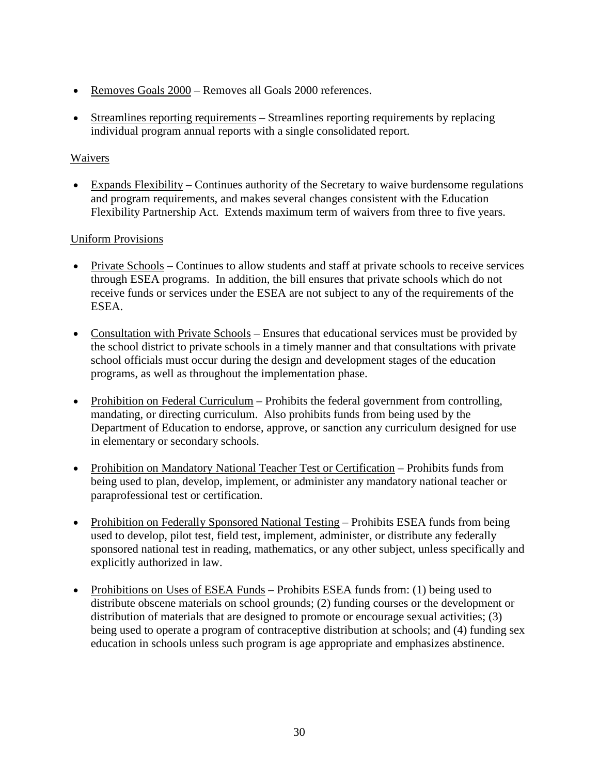- Removes Goals 2000 Removes all Goals 2000 references.
- Streamlines reporting requirements Streamlines reporting requirements by replacing individual program annual reports with a single consolidated report.

### Waivers

• Expands Flexibility – Continues authority of the Secretary to waive burdensome regulations and program requirements, and makes several changes consistent with the Education Flexibility Partnership Act. Extends maximum term of waivers from three to five years.

# Uniform Provisions

- Private Schools Continues to allow students and staff at private schools to receive services through ESEA programs. In addition, the bill ensures that private schools which do not receive funds or services under the ESEA are not subject to any of the requirements of the ESEA.
- Consultation with Private Schools Ensures that educational services must be provided by the school district to private schools in a timely manner and that consultations with private school officials must occur during the design and development stages of the education programs, as well as throughout the implementation phase.
- Prohibition on Federal Curriculum Prohibits the federal government from controlling, mandating, or directing curriculum. Also prohibits funds from being used by the Department of Education to endorse, approve, or sanction any curriculum designed for use in elementary or secondary schools.
- Prohibition on Mandatory National Teacher Test or Certification Prohibits funds from being used to plan, develop, implement, or administer any mandatory national teacher or paraprofessional test or certification.
- Prohibition on Federally Sponsored National Testing Prohibits ESEA funds from being used to develop, pilot test, field test, implement, administer, or distribute any federally sponsored national test in reading, mathematics, or any other subject, unless specifically and explicitly authorized in law.
- Prohibitions on Uses of ESEA Funds Prohibits ESEA funds from: (1) being used to distribute obscene materials on school grounds; (2) funding courses or the development or distribution of materials that are designed to promote or encourage sexual activities; (3) being used to operate a program of contraceptive distribution at schools; and (4) funding sex education in schools unless such program is age appropriate and emphasizes abstinence.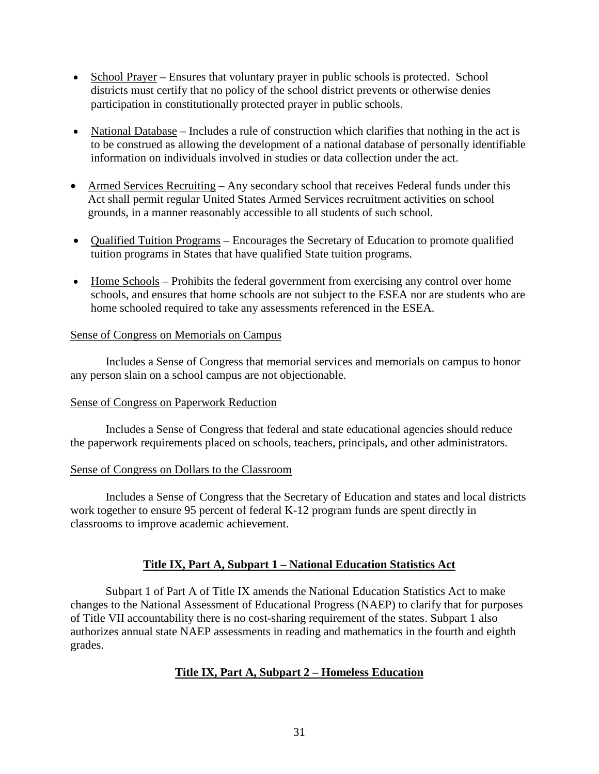- School Prayer Ensures that voluntary prayer in public schools is protected. School districts must certify that no policy of the school district prevents or otherwise denies participation in constitutionally protected prayer in public schools.
- National Database Includes a rule of construction which clarifies that nothing in the act is to be construed as allowing the development of a national database of personally identifiable information on individuals involved in studies or data collection under the act.
- Armed Services Recruiting Any secondary school that receives Federal funds under this Act shall permit regular United States Armed Services recruitment activities on school grounds, in a manner reasonably accessible to all students of such school.
- Qualified Tuition Programs Encourages the Secretary of Education to promote qualified tuition programs in States that have qualified State tuition programs.
- Home Schools Prohibits the federal government from exercising any control over home schools, and ensures that home schools are not subject to the ESEA nor are students who are home schooled required to take any assessments referenced in the ESEA.

#### Sense of Congress on Memorials on Campus

Includes a Sense of Congress that memorial services and memorials on campus to honor any person slain on a school campus are not objectionable.

### Sense of Congress on Paperwork Reduction

Includes a Sense of Congress that federal and state educational agencies should reduce the paperwork requirements placed on schools, teachers, principals, and other administrators.

#### Sense of Congress on Dollars to the Classroom

Includes a Sense of Congress that the Secretary of Education and states and local districts work together to ensure 95 percent of federal K-12 program funds are spent directly in classrooms to improve academic achievement.

# **Title IX, Part A, Subpart 1 – National Education Statistics Act**

Subpart 1 of Part A of Title IX amends the National Education Statistics Act to make changes to the National Assessment of Educational Progress (NAEP) to clarify that for purposes of Title VII accountability there is no cost-sharing requirement of the states. Subpart 1 also authorizes annual state NAEP assessments in reading and mathematics in the fourth and eighth grades.

# **Title IX, Part A, Subpart 2 – Homeless Education**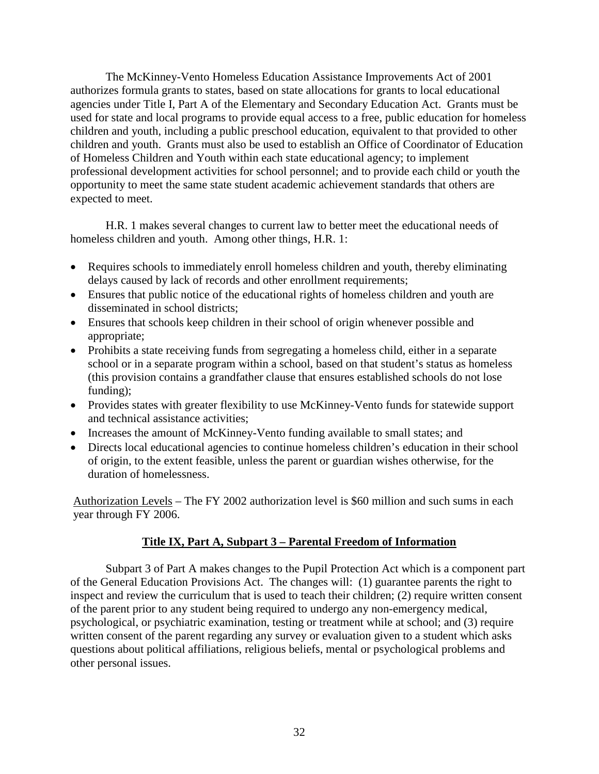The McKinney-Vento Homeless Education Assistance Improvements Act of 2001 authorizes formula grants to states, based on state allocations for grants to local educational agencies under Title I, Part A of the Elementary and Secondary Education Act. Grants must be used for state and local programs to provide equal access to a free, public education for homeless children and youth, including a public preschool education, equivalent to that provided to other children and youth. Grants must also be used to establish an Office of Coordinator of Education of Homeless Children and Youth within each state educational agency; to implement professional development activities for school personnel; and to provide each child or youth the opportunity to meet the same state student academic achievement standards that others are expected to meet.

H.R. 1 makes several changes to current law to better meet the educational needs of homeless children and youth. Among other things, H.R. 1:

- Requires schools to immediately enroll homeless children and youth, thereby eliminating delays caused by lack of records and other enrollment requirements;
- Ensures that public notice of the educational rights of homeless children and youth are disseminated in school districts;
- Ensures that schools keep children in their school of origin whenever possible and appropriate;
- Prohibits a state receiving funds from segregating a homeless child, either in a separate school or in a separate program within a school, based on that student's status as homeless (this provision contains a grandfather clause that ensures established schools do not lose funding);
- Provides states with greater flexibility to use McKinney-Vento funds for statewide support and technical assistance activities;
- Increases the amount of McKinney-Vento funding available to small states; and
- Directs local educational agencies to continue homeless children's education in their school of origin, to the extent feasible, unless the parent or guardian wishes otherwise, for the duration of homelessness.

Authorization Levels – The FY 2002 authorization level is \$60 million and such sums in each year through FY 2006.

### **Title IX, Part A, Subpart 3 – Parental Freedom of Information**

Subpart 3 of Part A makes changes to the Pupil Protection Act which is a component part of the General Education Provisions Act. The changes will: (1) guarantee parents the right to inspect and review the curriculum that is used to teach their children; (2) require written consent of the parent prior to any student being required to undergo any non-emergency medical, psychological, or psychiatric examination, testing or treatment while at school; and (3) require written consent of the parent regarding any survey or evaluation given to a student which asks questions about political affiliations, religious beliefs, mental or psychological problems and other personal issues.